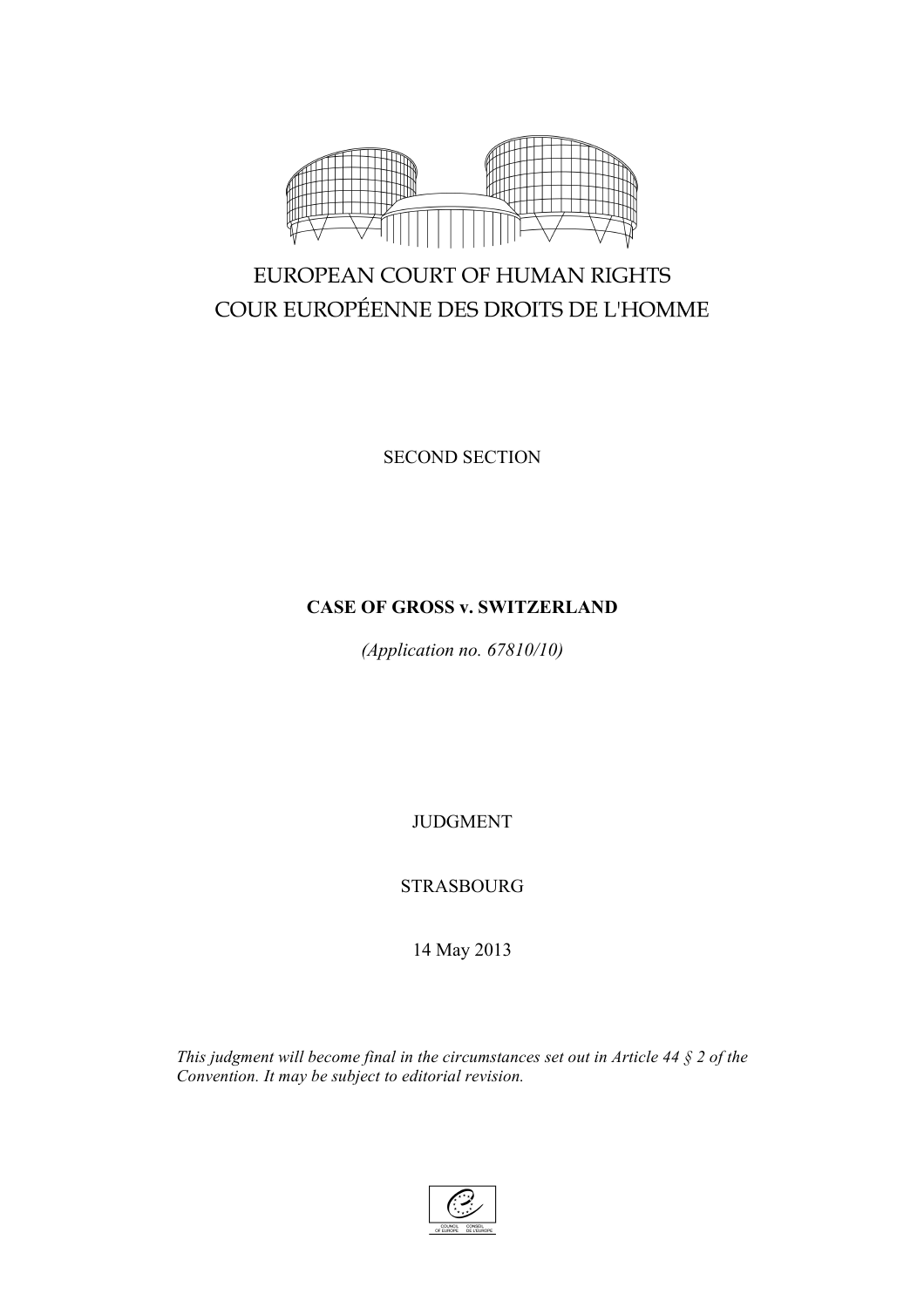

# EUROPEAN COURT OF HUMAN RIGHTS COUR EUROPÉENNE DES DROITS DE L'HOMME

SECOND SECTION

## **CASE OF GROSS v. SWITZERLAND**

*(Application no. 67810/10)*

JUDGMENT

STRASBOURG

14 May 2013

*This judgment will become final in the circumstances set out in Article 44 § 2 of the Convention. It may be subject to editorial revision.*

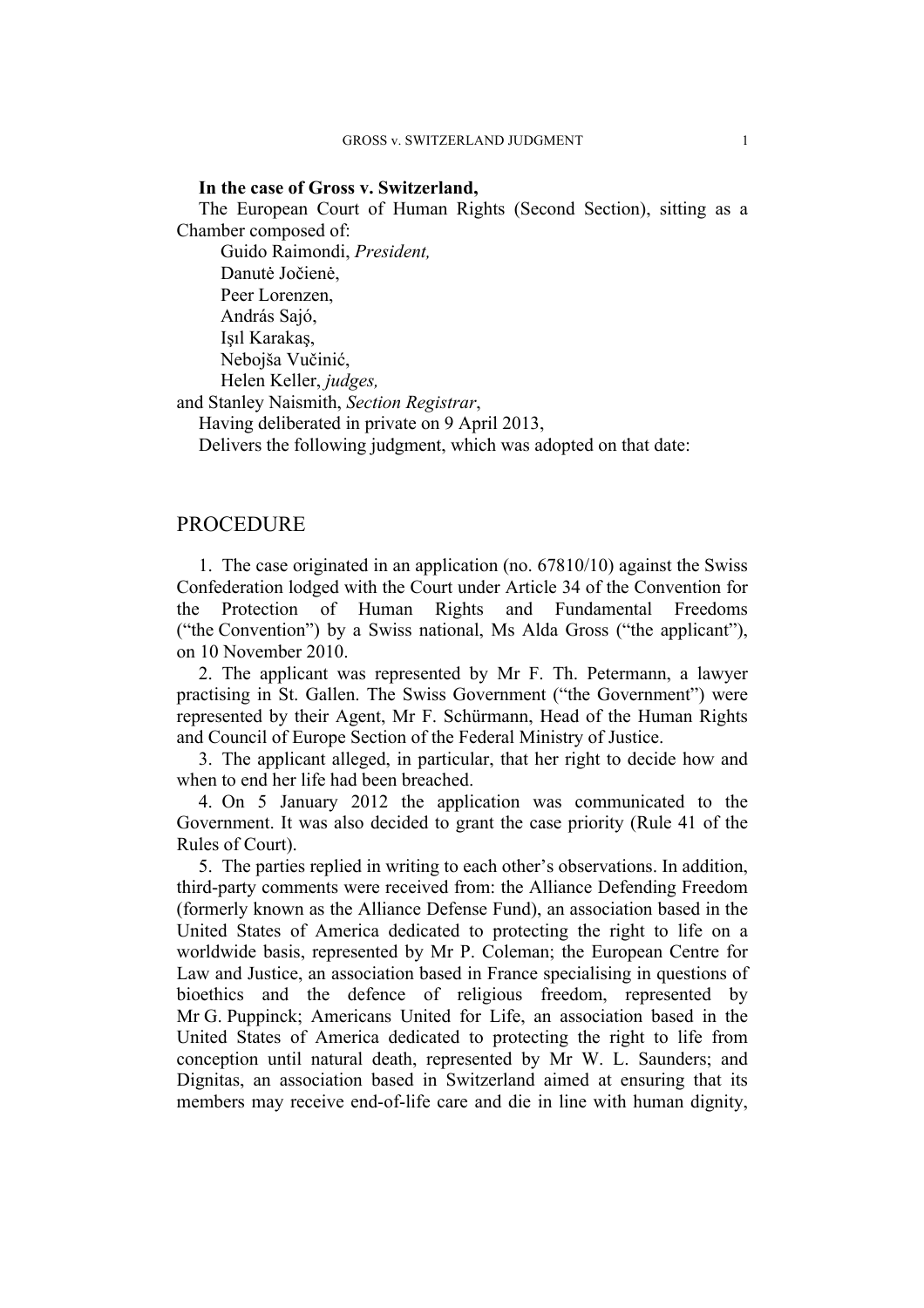#### **In the case of Gross v. Switzerland,**

The European Court of Human Rights (Second Section), sitting as a Chamber composed of:

Guido Raimondi, *President,* Danutė Jočienė, Peer Lorenzen, András Sajó, Işıl Karakaş, Nebojša Vučinić, Helen Keller, *judges,*

and Stanley Naismith, *Section Registrar*,

Having deliberated in private on 9 April 2013,

Delivers the following judgment, which was adopted on that date:

### PROCEDURE

1. The case originated in an application (no. 67810/10) against the Swiss Confederation lodged with the Court under Article 34 of the Convention for the Protection of Human Rights and Fundamental Freedoms ("the Convention") by a Swiss national, Ms Alda Gross ("the applicant"), on 10 November 2010.

2. The applicant was represented by Mr F. Th. Petermann, a lawyer practising in St. Gallen. The Swiss Government ("the Government") were represented by their Agent, Mr F. Schürmann, Head of the Human Rights and Council of Europe Section of the Federal Ministry of Justice.

3. The applicant alleged, in particular, that her right to decide how and when to end her life had been breached.

4. On 5 January 2012 the application was communicated to the Government. It was also decided to grant the case priority (Rule 41 of the Rules of Court).

5. The parties replied in writing to each other's observations. In addition, third-party comments were received from: the Alliance Defending Freedom (formerly known as the Alliance Defense Fund), an association based in the United States of America dedicated to protecting the right to life on a worldwide basis, represented by Mr P. Coleman; the European Centre for Law and Justice, an association based in France specialising in questions of bioethics and the defence of religious freedom, represented by Mr G. Puppinck; Americans United for Life, an association based in the United States of America dedicated to protecting the right to life from conception until natural death, represented by Mr W. L. Saunders; and Dignitas, an association based in Switzerland aimed at ensuring that its members may receive end-of-life care and die in line with human dignity,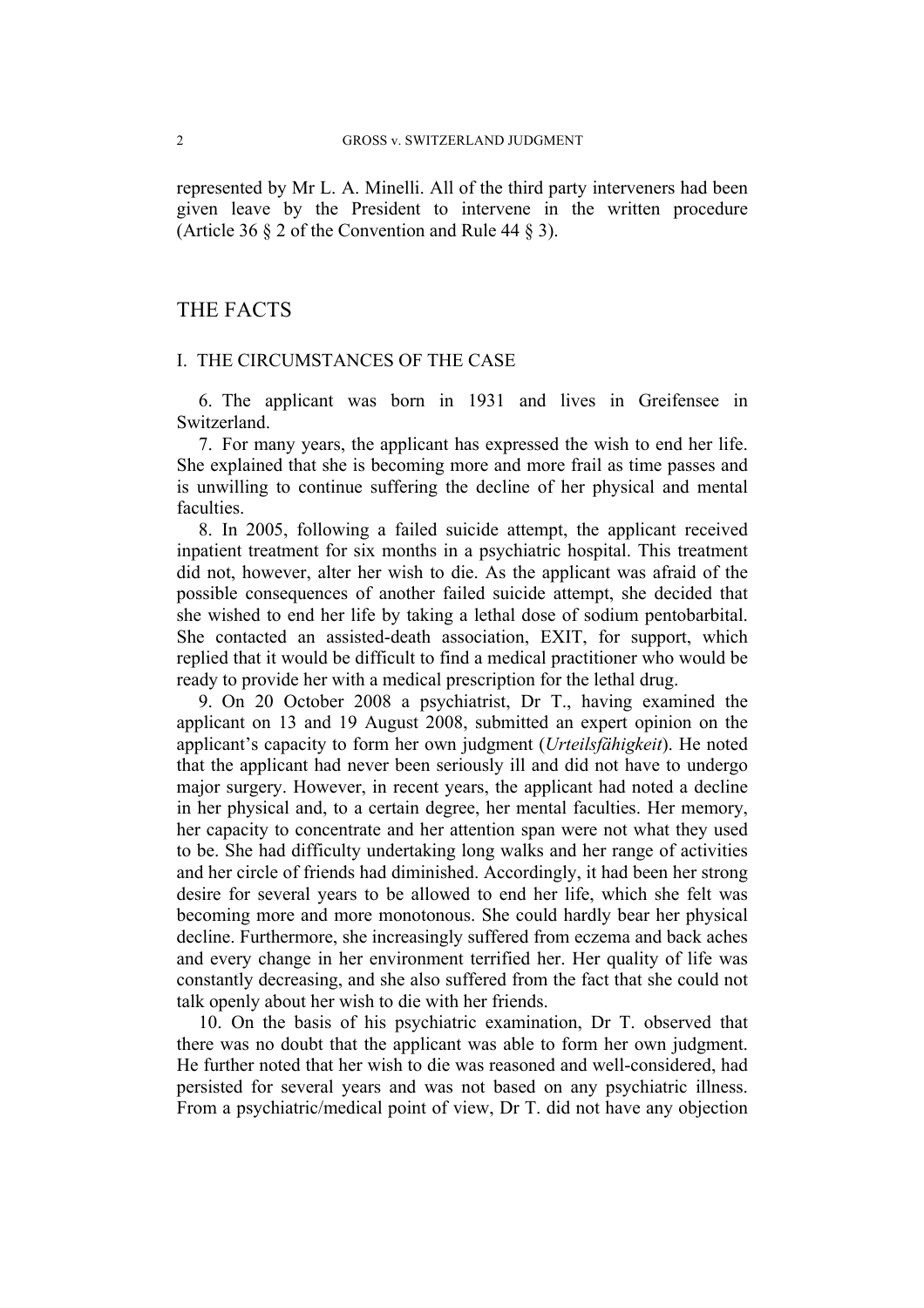represented by Mr L. A. Minelli. All of the third party interveners had been given leave by the President to intervene in the written procedure (Article 36 § 2 of the Convention and Rule 44 § 3).

### THE FACTS

### I. THE CIRCUMSTANCES OF THE CASE

6. The applicant was born in 1931 and lives in Greifensee in Switzerland.

7. For many years, the applicant has expressed the wish to end her life. She explained that she is becoming more and more frail as time passes and is unwilling to continue suffering the decline of her physical and mental **faculties** 

8. In 2005, following a failed suicide attempt, the applicant received inpatient treatment for six months in a psychiatric hospital. This treatment did not, however, alter her wish to die. As the applicant was afraid of the possible consequences of another failed suicide attempt, she decided that she wished to end her life by taking a lethal dose of sodium pentobarbital. She contacted an assisted-death association, EXIT, for support, which replied that it would be difficult to find a medical practitioner who would be ready to provide her with a medical prescription for the lethal drug.

9. On 20 October 2008 a psychiatrist, Dr T., having examined the applicant on 13 and 19 August 2008, submitted an expert opinion on the applicant's capacity to form her own judgment (*Urteilsfähigkeit*). He noted that the applicant had never been seriously ill and did not have to undergo major surgery. However, in recent years, the applicant had noted a decline in her physical and, to a certain degree, her mental faculties. Her memory, her capacity to concentrate and her attention span were not what they used to be. She had difficulty undertaking long walks and her range of activities and her circle of friends had diminished. Accordingly, it had been her strong desire for several years to be allowed to end her life, which she felt was becoming more and more monotonous. She could hardly bear her physical decline. Furthermore, she increasingly suffered from eczema and back aches and every change in her environment terrified her. Her quality of life was constantly decreasing, and she also suffered from the fact that she could not talk openly about her wish to die with her friends.

10. On the basis of his psychiatric examination, Dr T. observed that there was no doubt that the applicant was able to form her own judgment. He further noted that her wish to die was reasoned and well-considered, had persisted for several years and was not based on any psychiatric illness. From a psychiatric/medical point of view, Dr T. did not have any objection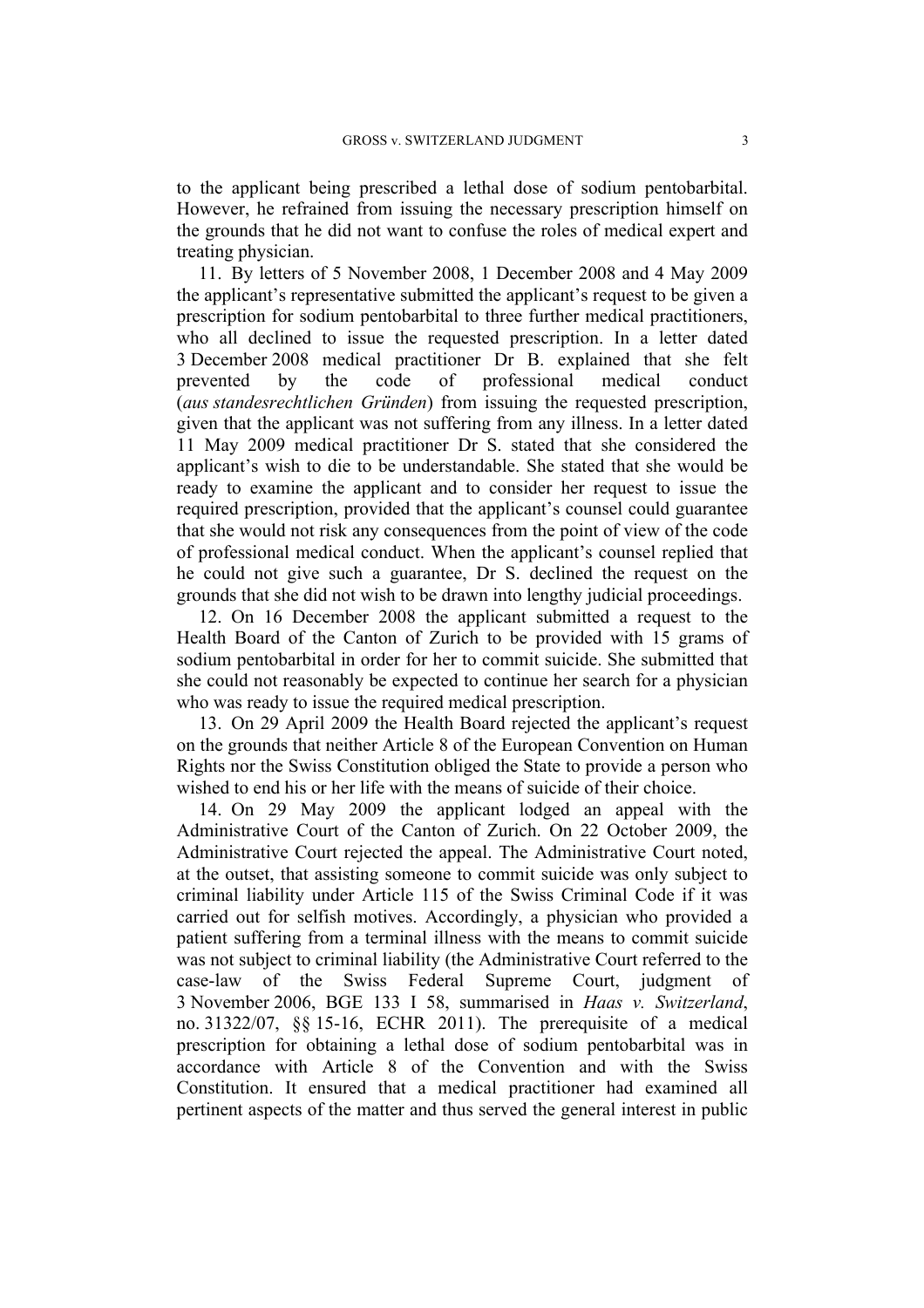to the applicant being prescribed a lethal dose of sodium pentobarbital. However, he refrained from issuing the necessary prescription himself on the grounds that he did not want to confuse the roles of medical expert and treating physician.

11. By letters of 5 November 2008, 1 December 2008 and 4 May 2009 the applicant's representative submitted the applicant's request to be given a prescription for sodium pentobarbital to three further medical practitioners, who all declined to issue the requested prescription. In a letter dated 3 December 2008 medical practitioner Dr B. explained that she felt prevented by the code of professional medical conduct (*aus standesrechtlichen Gründen*) from issuing the requested prescription, given that the applicant was not suffering from any illness. In a letter dated 11 May 2009 medical practitioner Dr S. stated that she considered the applicant's wish to die to be understandable. She stated that she would be ready to examine the applicant and to consider her request to issue the required prescription, provided that the applicant's counsel could guarantee that she would not risk any consequences from the point of view of the code of professional medical conduct. When the applicant's counsel replied that he could not give such a guarantee, Dr S. declined the request on the grounds that she did not wish to be drawn into lengthy judicial proceedings.

12. On 16 December 2008 the applicant submitted a request to the Health Board of the Canton of Zurich to be provided with 15 grams of sodium pentobarbital in order for her to commit suicide. She submitted that she could not reasonably be expected to continue her search for a physician who was ready to issue the required medical prescription.

13. On 29 April 2009 the Health Board rejected the applicant's request on the grounds that neither Article 8 of the European Convention on Human Rights nor the Swiss Constitution obliged the State to provide a person who wished to end his or her life with the means of suicide of their choice.

14. On 29 May 2009 the applicant lodged an appeal with the Administrative Court of the Canton of Zurich. On 22 October 2009, the Administrative Court rejected the appeal. The Administrative Court noted, at the outset, that assisting someone to commit suicide was only subject to criminal liability under Article 115 of the Swiss Criminal Code if it was carried out for selfish motives. Accordingly, a physician who provided a patient suffering from a terminal illness with the means to commit suicide was not subject to criminal liability (the Administrative Court referred to the case-law of the Swiss Federal Supreme Court, judgment of case-law of the Swiss Federal Supreme Court, judgment of 3 November 2006, BGE 133 I 58, summarised in *Haas v. Switzerland*, no. 31322/07, §§ 15-16, ECHR 2011). The prerequisite of a medical prescription for obtaining a lethal dose of sodium pentobarbital was in accordance with Article 8 of the Convention and with the Swiss Constitution. It ensured that a medical practitioner had examined all pertinent aspects of the matter and thus served the general interest in public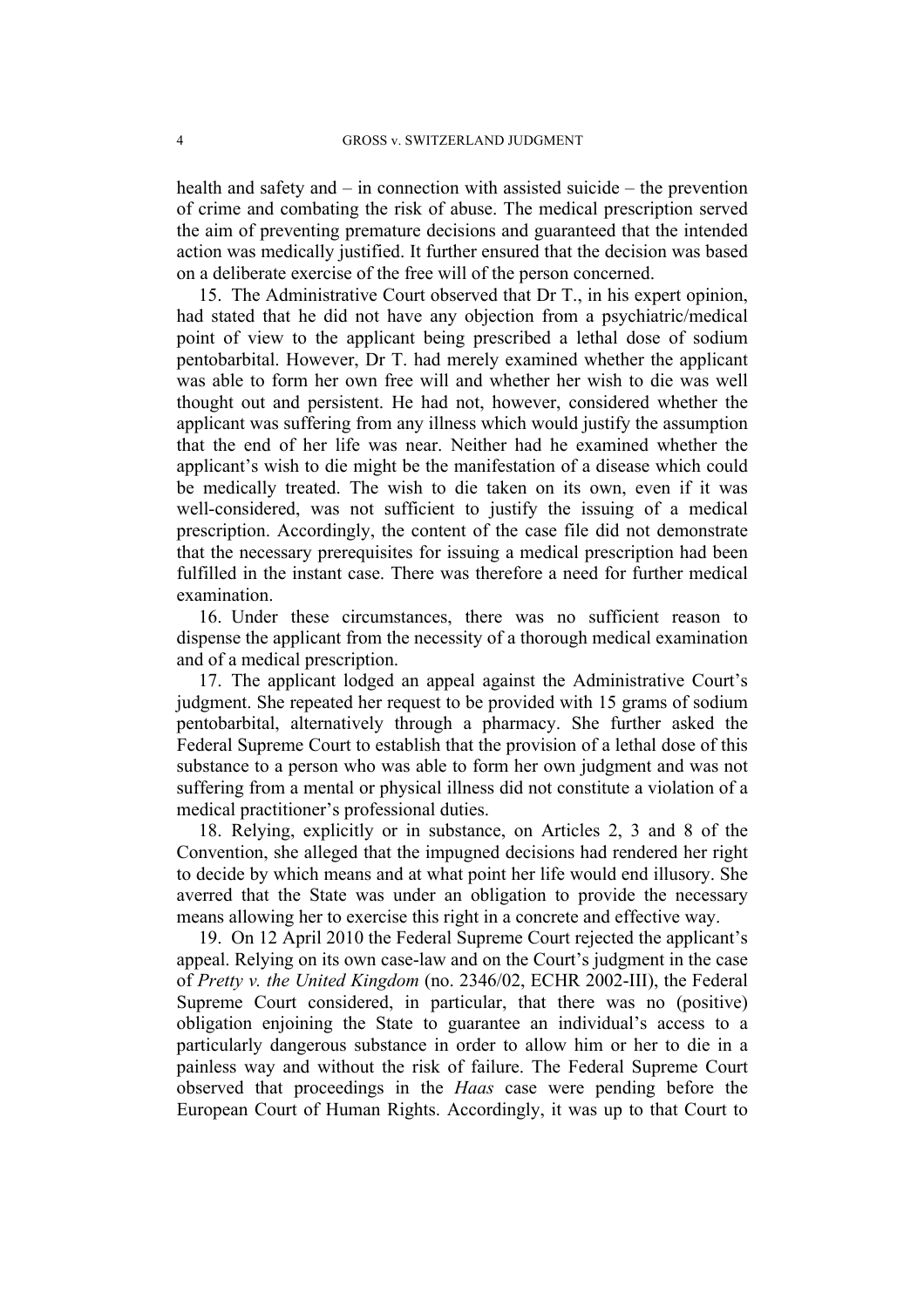health and safety and – in connection with assisted suicide – the prevention of crime and combating the risk of abuse. The medical prescription served the aim of preventing premature decisions and guaranteed that the intended action was medically justified. It further ensured that the decision was based on a deliberate exercise of the free will of the person concerned.

15. The Administrative Court observed that Dr T., in his expert opinion, had stated that he did not have any objection from a psychiatric/medical point of view to the applicant being prescribed a lethal dose of sodium pentobarbital. However, Dr T. had merely examined whether the applicant was able to form her own free will and whether her wish to die was well thought out and persistent. He had not, however, considered whether the applicant was suffering from any illness which would justify the assumption that the end of her life was near. Neither had he examined whether the applicant's wish to die might be the manifestation of a disease which could be medically treated. The wish to die taken on its own, even if it was well-considered, was not sufficient to justify the issuing of a medical prescription. Accordingly, the content of the case file did not demonstrate that the necessary prerequisites for issuing a medical prescription had been fulfilled in the instant case. There was therefore a need for further medical examination.

16. Under these circumstances, there was no sufficient reason to dispense the applicant from the necessity of a thorough medical examination and of a medical prescription.

17. The applicant lodged an appeal against the Administrative Court's judgment. She repeated her request to be provided with 15 grams of sodium pentobarbital, alternatively through a pharmacy. She further asked the Federal Supreme Court to establish that the provision of a lethal dose of this substance to a person who was able to form her own judgment and was not suffering from a mental or physical illness did not constitute a violation of a medical practitioner's professional duties.

18. Relying, explicitly or in substance, on Articles 2, 3 and 8 of the Convention, she alleged that the impugned decisions had rendered her right to decide by which means and at what point her life would end illusory. She averred that the State was under an obligation to provide the necessary means allowing her to exercise this right in a concrete and effective way.

19. On 12 April 2010 the Federal Supreme Court rejected the applicant's appeal. Relying on its own case-law and on the Court's judgment in the case of *Pretty v. the United Kingdom* (no. 2346/02, ECHR 2002-III), the Federal Supreme Court considered, in particular, that there was no (positive) obligation enjoining the State to guarantee an individual's access to a particularly dangerous substance in order to allow him or her to die in a painless way and without the risk of failure. The Federal Supreme Court observed that proceedings in the *Haas* case were pending before the European Court of Human Rights. Accordingly, it was up to that Court to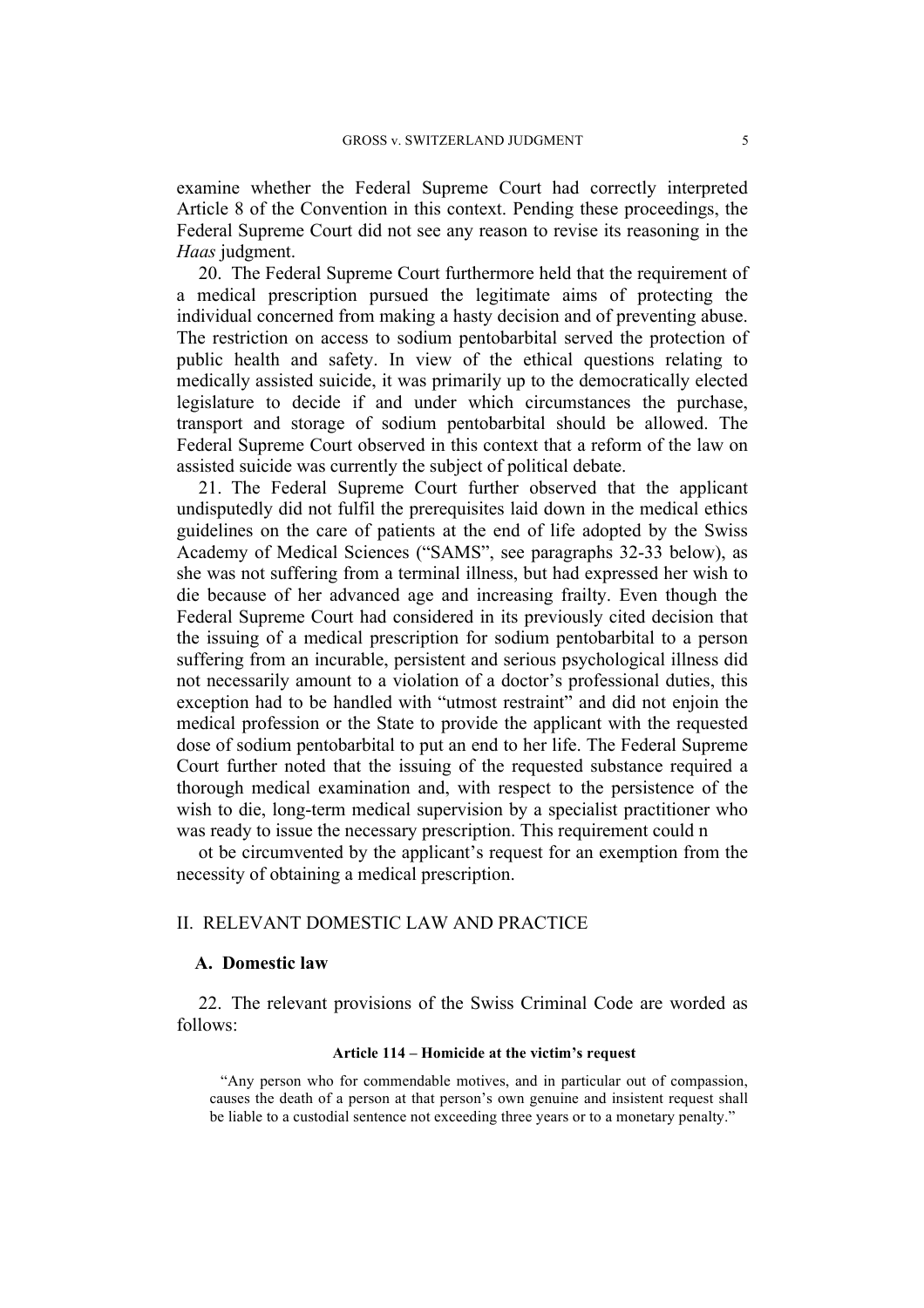examine whether the Federal Supreme Court had correctly interpreted Article 8 of the Convention in this context. Pending these proceedings, the Federal Supreme Court did not see any reason to revise its reasoning in the *Haas* judgment.

20. The Federal Supreme Court furthermore held that the requirement of a medical prescription pursued the legitimate aims of protecting the individual concerned from making a hasty decision and of preventing abuse. The restriction on access to sodium pentobarbital served the protection of public health and safety. In view of the ethical questions relating to medically assisted suicide, it was primarily up to the democratically elected legislature to decide if and under which circumstances the purchase, transport and storage of sodium pentobarbital should be allowed. The Federal Supreme Court observed in this context that a reform of the law on assisted suicide was currently the subject of political debate.

21. The Federal Supreme Court further observed that the applicant undisputedly did not fulfil the prerequisites laid down in the medical ethics guidelines on the care of patients at the end of life adopted by the Swiss Academy of Medical Sciences ("SAMS", see paragraphs 32-33 below), as she was not suffering from a terminal illness, but had expressed her wish to die because of her advanced age and increasing frailty. Even though the Federal Supreme Court had considered in its previously cited decision that the issuing of a medical prescription for sodium pentobarbital to a person suffering from an incurable, persistent and serious psychological illness did not necessarily amount to a violation of a doctor's professional duties, this exception had to be handled with "utmost restraint" and did not enjoin the medical profession or the State to provide the applicant with the requested dose of sodium pentobarbital to put an end to her life. The Federal Supreme Court further noted that the issuing of the requested substance required a thorough medical examination and, with respect to the persistence of the wish to die, long-term medical supervision by a specialist practitioner who was ready to issue the necessary prescription. This requirement could n

ot be circumvented by the applicant's request for an exemption from the necessity of obtaining a medical prescription.

### II. RELEVANT DOMESTIC LAW AND PRACTICE

### **A. Domestic law**

22. The relevant provisions of the Swiss Criminal Code are worded as follows:

#### **Article 114 – Homicide at the victim's request**

"Any person who for commendable motives, and in particular out of compassion, causes the death of a person at that person's own genuine and insistent request shall be liable to a custodial sentence not exceeding three years or to a monetary penalty."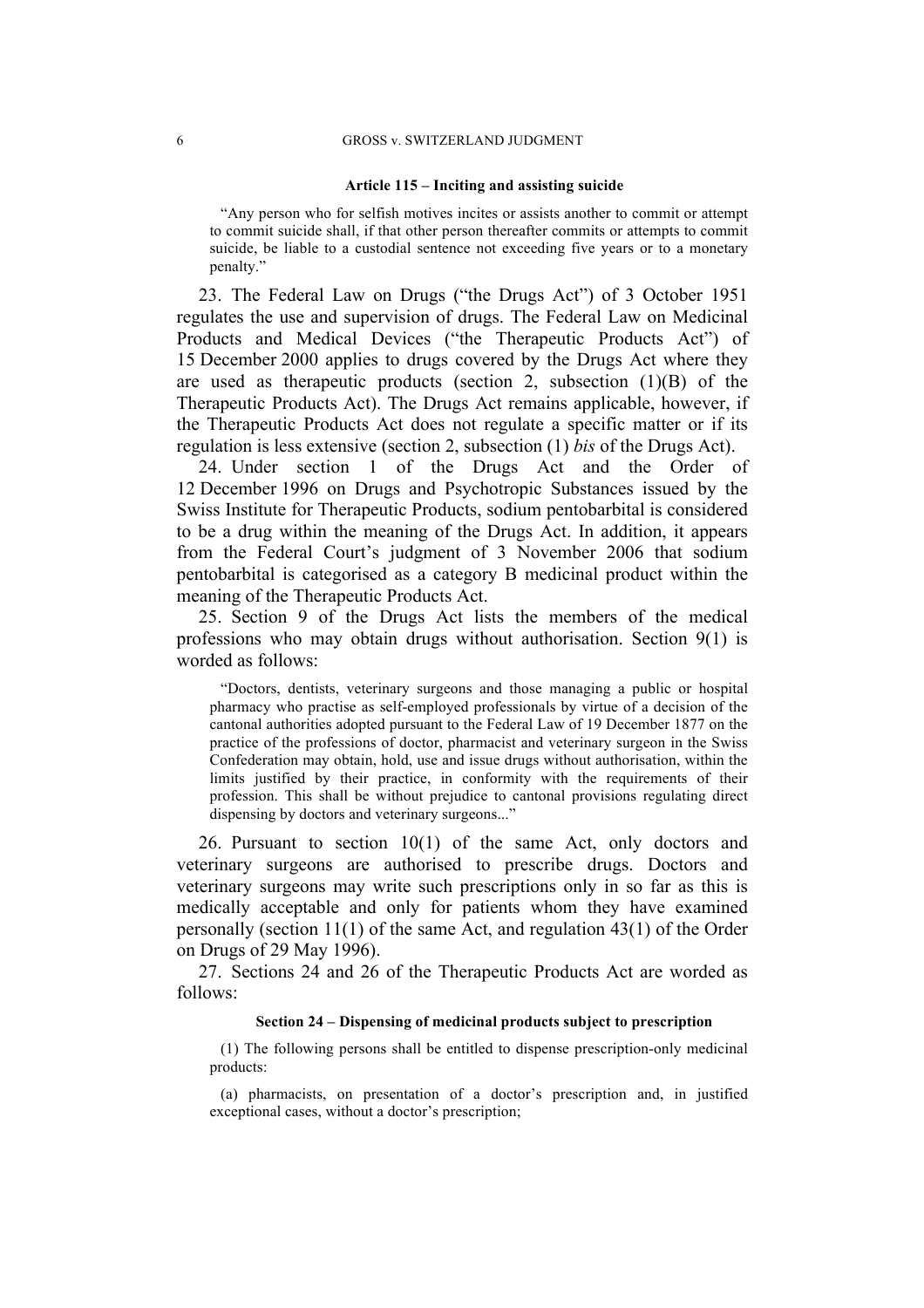#### 6 GROSS v. SWITZERLAND JUDGMENT

#### **Article 115 – Inciting and assisting suicide**

"Any person who for selfish motives incites or assists another to commit or attempt to commit suicide shall, if that other person thereafter commits or attempts to commit suicide, be liable to a custodial sentence not exceeding five years or to a monetary penalty."

23. The Federal Law on Drugs ("the Drugs Act") of 3 October 1951 regulates the use and supervision of drugs. The Federal Law on Medicinal Products and Medical Devices ("the Therapeutic Products Act") of 15 December 2000 applies to drugs covered by the Drugs Act where they are used as therapeutic products (section  $2$ , subsection  $(1)(B)$  of the Therapeutic Products Act). The Drugs Act remains applicable, however, if the Therapeutic Products Act does not regulate a specific matter or if its regulation is less extensive (section 2, subsection (1) *bis* of the Drugs Act).

24. Under section 1 of the Drugs Act and the Order of 12 December 1996 on Drugs and Psychotropic Substances issued by the Swiss Institute for Therapeutic Products, sodium pentobarbital is considered to be a drug within the meaning of the Drugs Act. In addition, it appears from the Federal Court's judgment of 3 November 2006 that sodium pentobarbital is categorised as a category B medicinal product within the meaning of the Therapeutic Products Act.

25. Section 9 of the Drugs Act lists the members of the medical professions who may obtain drugs without authorisation. Section 9(1) is worded as follows:

"Doctors, dentists, veterinary surgeons and those managing a public or hospital pharmacy who practise as self-employed professionals by virtue of a decision of the cantonal authorities adopted pursuant to the Federal Law of 19 December 1877 on the practice of the professions of doctor, pharmacist and veterinary surgeon in the Swiss Confederation may obtain, hold, use and issue drugs without authorisation, within the limits justified by their practice, in conformity with the requirements of their profession. This shall be without prejudice to cantonal provisions regulating direct dispensing by doctors and veterinary surgeons..."

26. Pursuant to section 10(1) of the same Act, only doctors and veterinary surgeons are authorised to prescribe drugs. Doctors and veterinary surgeons may write such prescriptions only in so far as this is medically acceptable and only for patients whom they have examined personally (section 11(1) of the same Act, and regulation 43(1) of the Order on Drugs of 29 May 1996).

27. Sections 24 and 26 of the Therapeutic Products Act are worded as follows:

#### **Section 24 – Dispensing of medicinal products subject to prescription**

(1) The following persons shall be entitled to dispense prescription-only medicinal products:

(a) pharmacists, on presentation of a doctor's prescription and, in justified exceptional cases, without a doctor's prescription;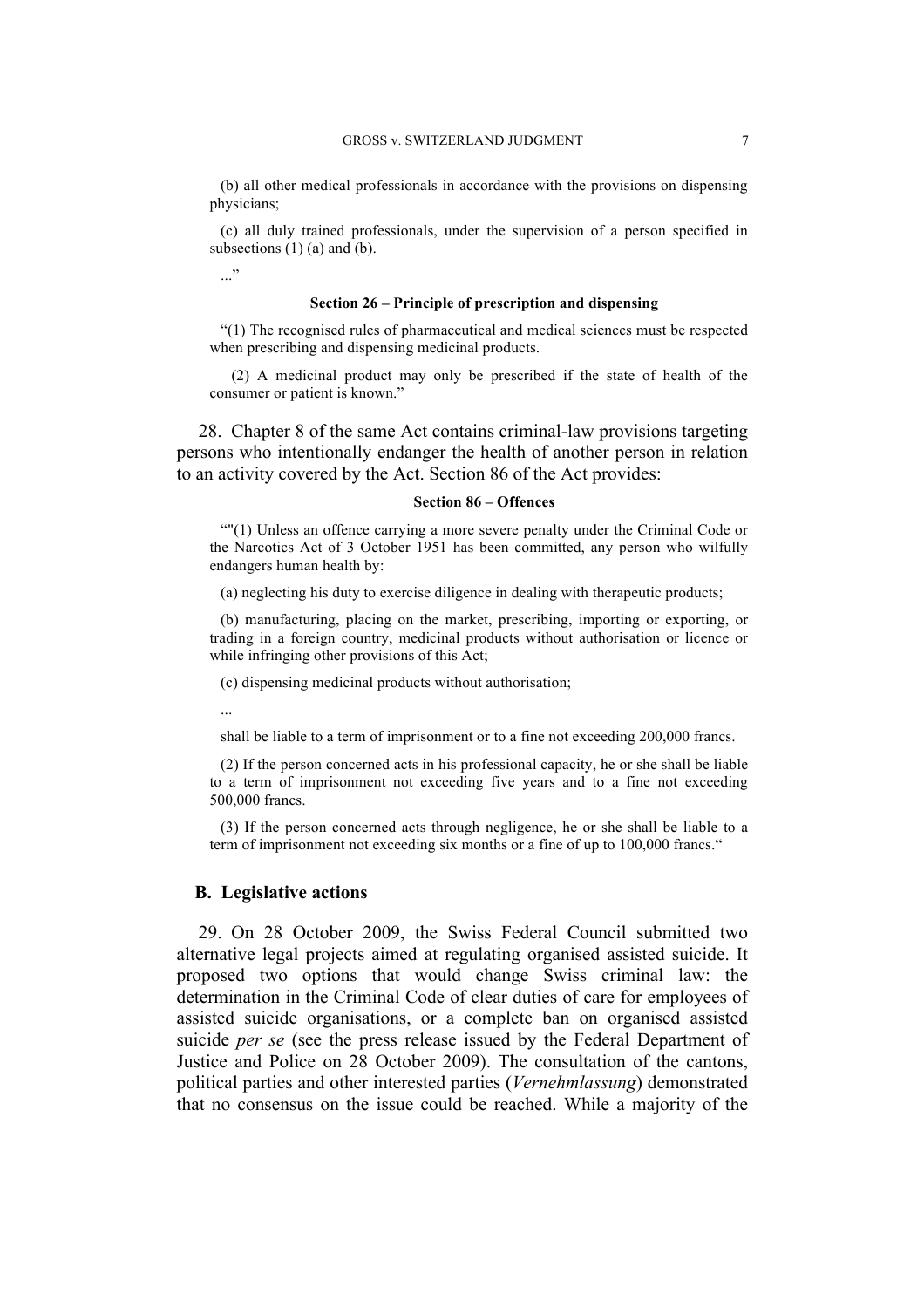(b) all other medical professionals in accordance with the provisions on dispensing physicians;

(c) all duly trained professionals, under the supervision of a person specified in subsections  $(1)$  (a) and (b).

 $\cdot$ ..."

#### **Section 26 – Principle of prescription and dispensing**

"(1) The recognised rules of pharmaceutical and medical sciences must be respected when prescribing and dispensing medicinal products.

(2) A medicinal product may only be prescribed if the state of health of the consumer or patient is known."

28. Chapter 8 of the same Act contains criminal-law provisions targeting persons who intentionally endanger the health of another person in relation to an activity covered by the Act. Section 86 of the Act provides:

#### **Section 86 – Offences**

""(1) Unless an offence carrying a more severe penalty under the Criminal Code or the Narcotics Act of 3 October 1951 has been committed, any person who wilfully endangers human health by:

(a) neglecting his duty to exercise diligence in dealing with therapeutic products;

(b) manufacturing, placing on the market, prescribing, importing or exporting, or trading in a foreign country, medicinal products without authorisation or licence or while infringing other provisions of this Act;

(c) dispensing medicinal products without authorisation;

...

shall be liable to a term of imprisonment or to a fine not exceeding 200,000 francs.

(2) If the person concerned acts in his professional capacity, he or she shall be liable to a term of imprisonment not exceeding five years and to a fine not exceeding 500,000 francs.

(3) If the person concerned acts through negligence, he or she shall be liable to a term of imprisonment not exceeding six months or a fine of up to 100,000 francs."

#### **B. Legislative actions**

29. On 28 October 2009, the Swiss Federal Council submitted two alternative legal projects aimed at regulating organised assisted suicide. It proposed two options that would change Swiss criminal law: the determination in the Criminal Code of clear duties of care for employees of assisted suicide organisations, or a complete ban on organised assisted suicide *per se* (see the press release issued by the Federal Department of Justice and Police on 28 October 2009). The consultation of the cantons, political parties and other interested parties (*Vernehmlassung*) demonstrated that no consensus on the issue could be reached. While a majority of the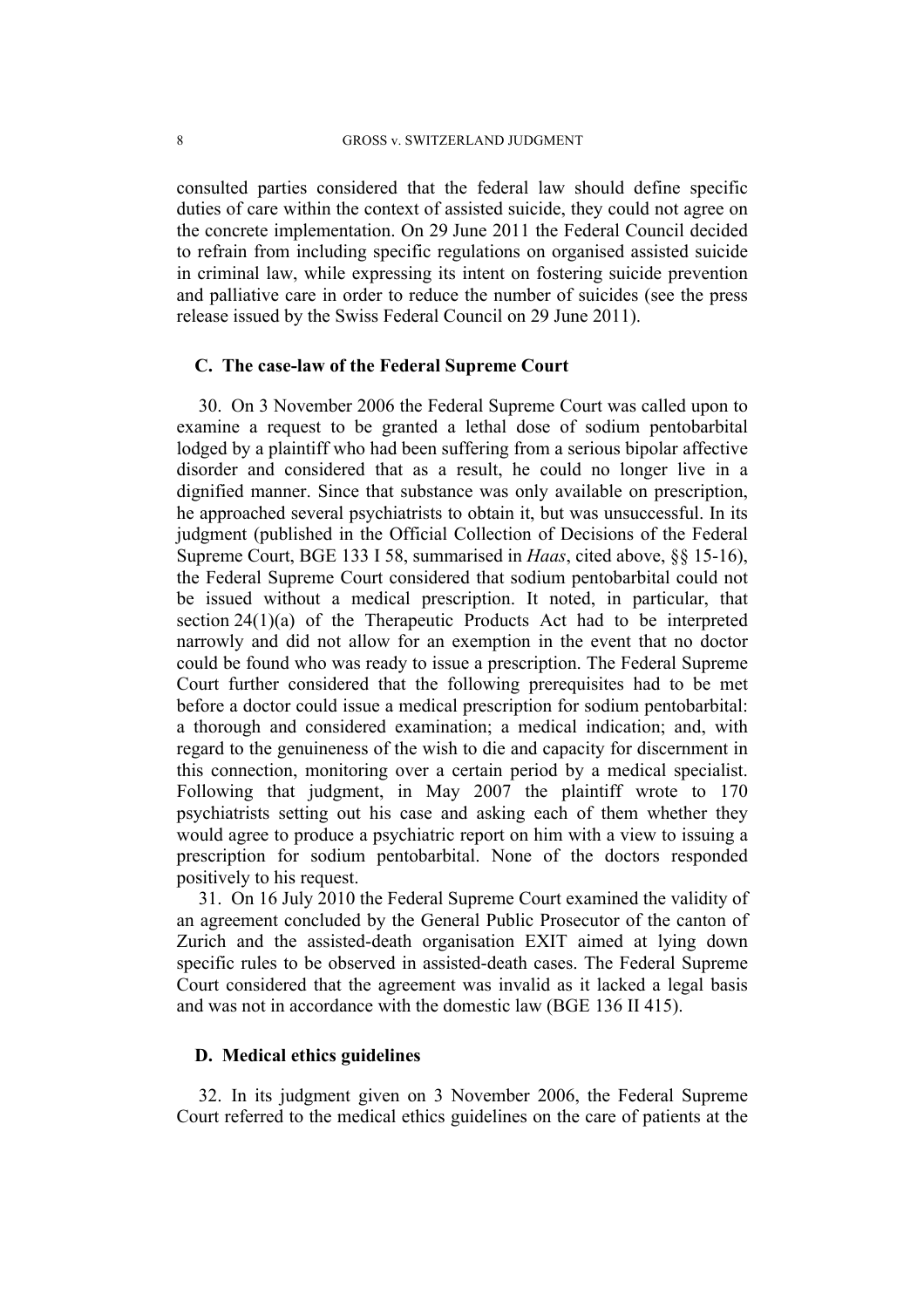consulted parties considered that the federal law should define specific duties of care within the context of assisted suicide, they could not agree on the concrete implementation. On 29 June 2011 the Federal Council decided to refrain from including specific regulations on organised assisted suicide in criminal law, while expressing its intent on fostering suicide prevention and palliative care in order to reduce the number of suicides (see the press release issued by the Swiss Federal Council on 29 June 2011).

### **C. The case-law of the Federal Supreme Court**

30. On 3 November 2006 the Federal Supreme Court was called upon to examine a request to be granted a lethal dose of sodium pentobarbital lodged by a plaintiff who had been suffering from a serious bipolar affective disorder and considered that as a result, he could no longer live in a dignified manner. Since that substance was only available on prescription, he approached several psychiatrists to obtain it, but was unsuccessful. In its judgment (published in the Official Collection of Decisions of the Federal Supreme Court, BGE 133 I 58, summarised in *Haas*, cited above, §§ 15-16), the Federal Supreme Court considered that sodium pentobarbital could not be issued without a medical prescription. It noted, in particular, that section 24(1)(a) of the Therapeutic Products Act had to be interpreted narrowly and did not allow for an exemption in the event that no doctor could be found who was ready to issue a prescription. The Federal Supreme Court further considered that the following prerequisites had to be met before a doctor could issue a medical prescription for sodium pentobarbital: a thorough and considered examination; a medical indication; and, with regard to the genuineness of the wish to die and capacity for discernment in this connection, monitoring over a certain period by a medical specialist. Following that judgment, in May 2007 the plaintiff wrote to 170 psychiatrists setting out his case and asking each of them whether they would agree to produce a psychiatric report on him with a view to issuing a prescription for sodium pentobarbital. None of the doctors responded positively to his request.

31. On 16 July 2010 the Federal Supreme Court examined the validity of an agreement concluded by the General Public Prosecutor of the canton of Zurich and the assisted-death organisation EXIT aimed at lying down specific rules to be observed in assisted-death cases. The Federal Supreme Court considered that the agreement was invalid as it lacked a legal basis and was not in accordance with the domestic law (BGE 136 II 415).

### **D. Medical ethics guidelines**

32. In its judgment given on 3 November 2006, the Federal Supreme Court referred to the medical ethics guidelines on the care of patients at the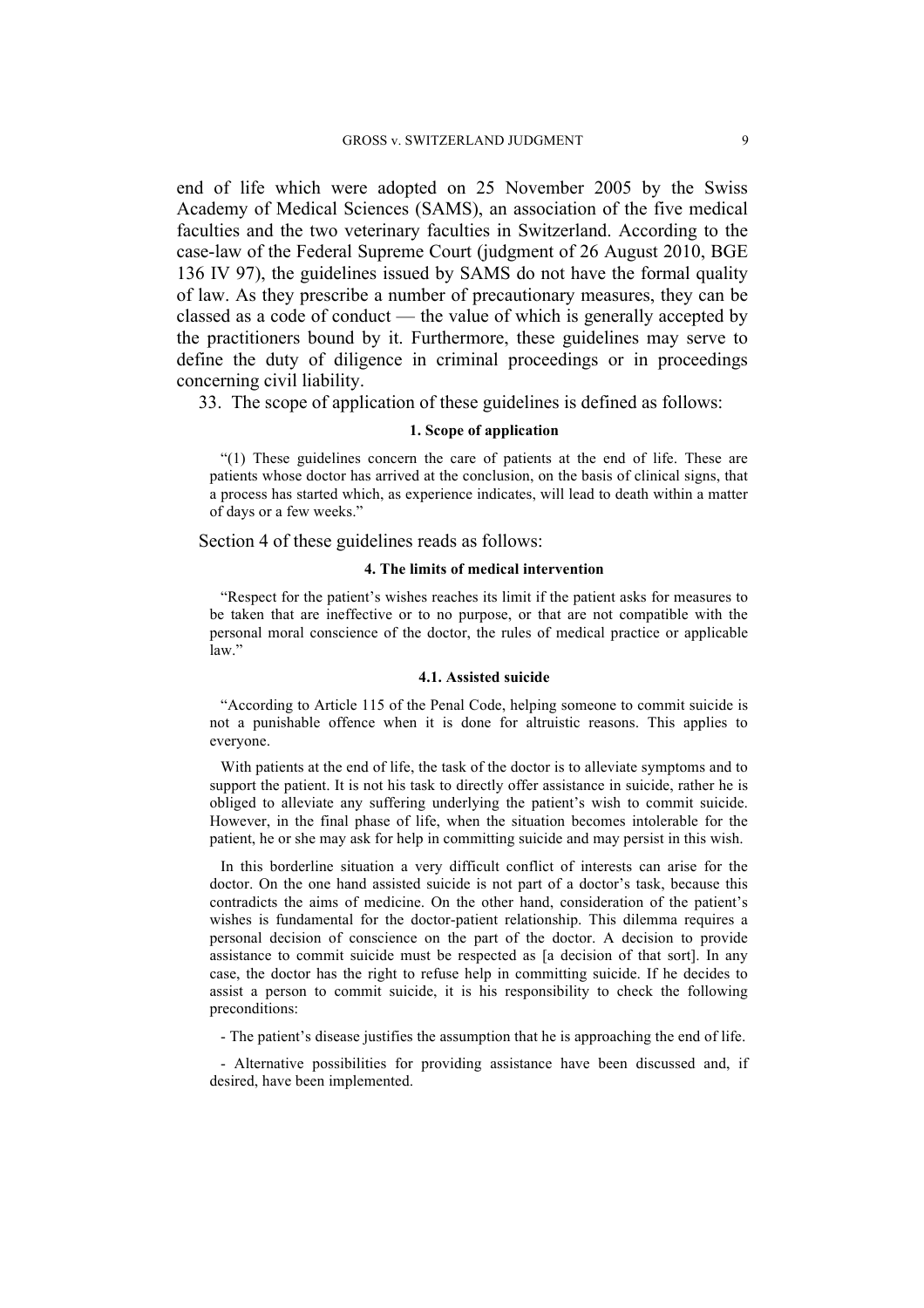end of life which were adopted on 25 November 2005 by the Swiss Academy of Medical Sciences (SAMS), an association of the five medical faculties and the two veterinary faculties in Switzerland. According to the case-law of the Federal Supreme Court (judgment of 26 August 2010, BGE 136 IV 97), the guidelines issued by SAMS do not have the formal quality of law. As they prescribe a number of precautionary measures, they can be classed as a code of conduct — the value of which is generally accepted by the practitioners bound by it. Furthermore, these guidelines may serve to define the duty of diligence in criminal proceedings or in proceedings concerning civil liability.

33. The scope of application of these guidelines is defined as follows:

#### **1. Scope of application**

"(1) These guidelines concern the care of patients at the end of life. These are patients whose doctor has arrived at the conclusion, on the basis of clinical signs, that a process has started which, as experience indicates, will lead to death within a matter of days or a few weeks."

Section 4 of these guidelines reads as follows:

#### **4. The limits of medical intervention**

"Respect for the patient's wishes reaches its limit if the patient asks for measures to be taken that are ineffective or to no purpose, or that are not compatible with the personal moral conscience of the doctor, the rules of medical practice or applicable law."

#### **4.1. Assisted suicide**

"According to Article 115 of the Penal Code, helping someone to commit suicide is not a punishable offence when it is done for altruistic reasons. This applies to everyone.

With patients at the end of life, the task of the doctor is to alleviate symptoms and to support the patient. It is not his task to directly offer assistance in suicide, rather he is obliged to alleviate any suffering underlying the patient's wish to commit suicide. However, in the final phase of life, when the situation becomes intolerable for the patient, he or she may ask for help in committing suicide and may persist in this wish.

In this borderline situation a very difficult conflict of interests can arise for the doctor. On the one hand assisted suicide is not part of a doctor's task, because this contradicts the aims of medicine. On the other hand, consideration of the patient's wishes is fundamental for the doctor-patient relationship. This dilemma requires a personal decision of conscience on the part of the doctor. A decision to provide assistance to commit suicide must be respected as [a decision of that sort]. In any case, the doctor has the right to refuse help in committing suicide. If he decides to assist a person to commit suicide, it is his responsibility to check the following preconditions:

- The patient's disease justifies the assumption that he is approaching the end of life.

- Alternative possibilities for providing assistance have been discussed and, if desired, have been implemented.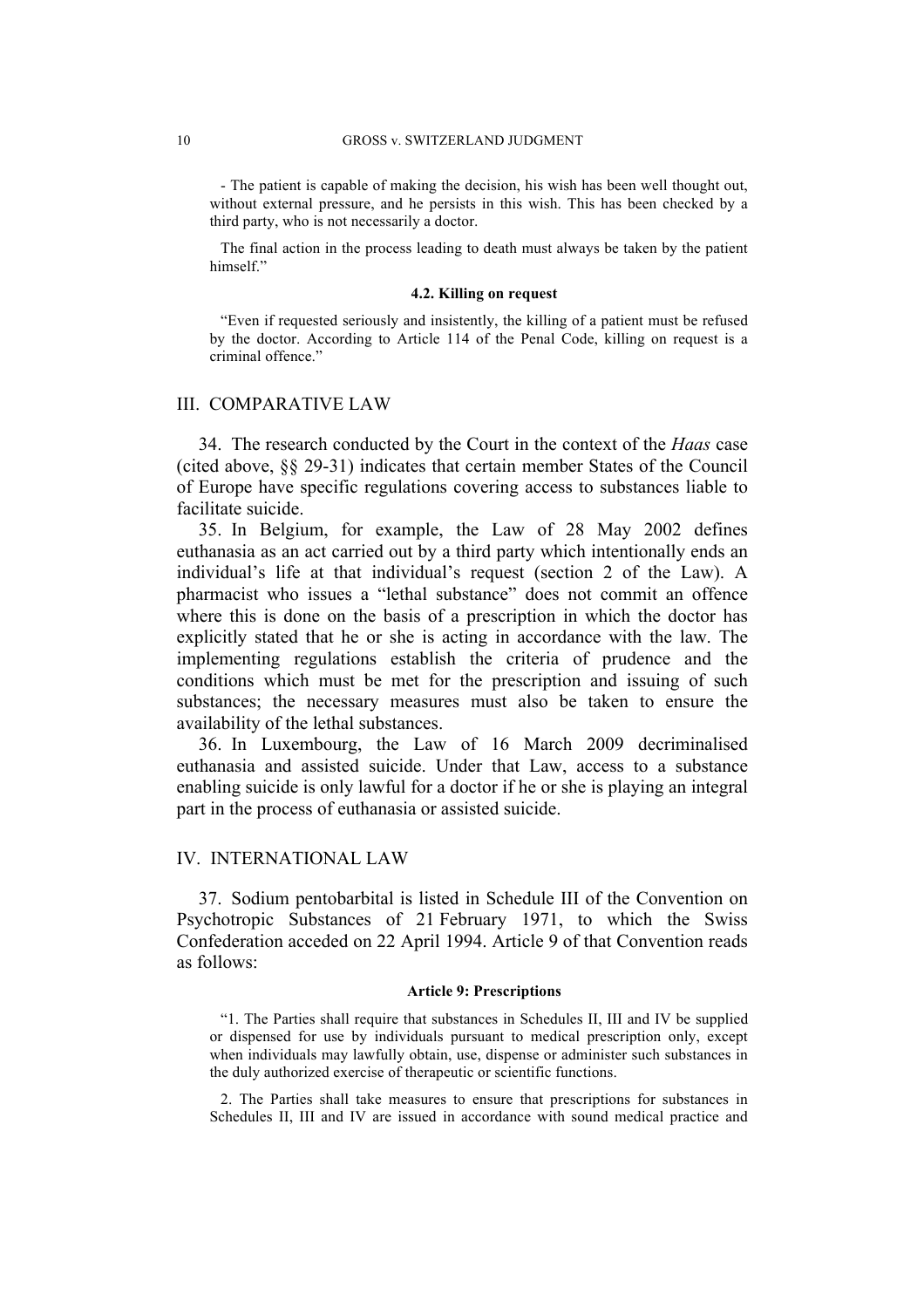- The patient is capable of making the decision, his wish has been well thought out, without external pressure, and he persists in this wish. This has been checked by a third party, who is not necessarily a doctor.

The final action in the process leading to death must always be taken by the patient himself."

#### **4.2. Killing on request**

"Even if requested seriously and insistently, the killing of a patient must be refused by the doctor. According to Article 114 of the Penal Code, killing on request is a criminal offence."

### III. COMPARATIVE LAW

34. The research conducted by the Court in the context of the *Haas* case (cited above, §§ 29-31) indicates that certain member States of the Council of Europe have specific regulations covering access to substances liable to facilitate suicide.

35. In Belgium, for example, the Law of 28 May 2002 defines euthanasia as an act carried out by a third party which intentionally ends an individual's life at that individual's request (section 2 of the Law). A pharmacist who issues a "lethal substance" does not commit an offence where this is done on the basis of a prescription in which the doctor has explicitly stated that he or she is acting in accordance with the law. The implementing regulations establish the criteria of prudence and the conditions which must be met for the prescription and issuing of such substances; the necessary measures must also be taken to ensure the availability of the lethal substances.

36. In Luxembourg, the Law of 16 March 2009 decriminalised euthanasia and assisted suicide. Under that Law, access to a substance enabling suicide is only lawful for a doctor if he or she is playing an integral part in the process of euthanasia or assisted suicide.

### IV. INTERNATIONAL LAW

37. Sodium pentobarbital is listed in Schedule III of the Convention on Psychotropic Substances of 21 February 1971, to which the Swiss Confederation acceded on 22 April 1994. Article 9 of that Convention reads as follows:

#### **Article 9: Prescriptions**

"1. The Parties shall require that substances in Schedules II, III and IV be supplied or dispensed for use by individuals pursuant to medical prescription only, except when individuals may lawfully obtain, use, dispense or administer such substances in the duly authorized exercise of therapeutic or scientific functions.

2. The Parties shall take measures to ensure that prescriptions for substances in Schedules II, III and IV are issued in accordance with sound medical practice and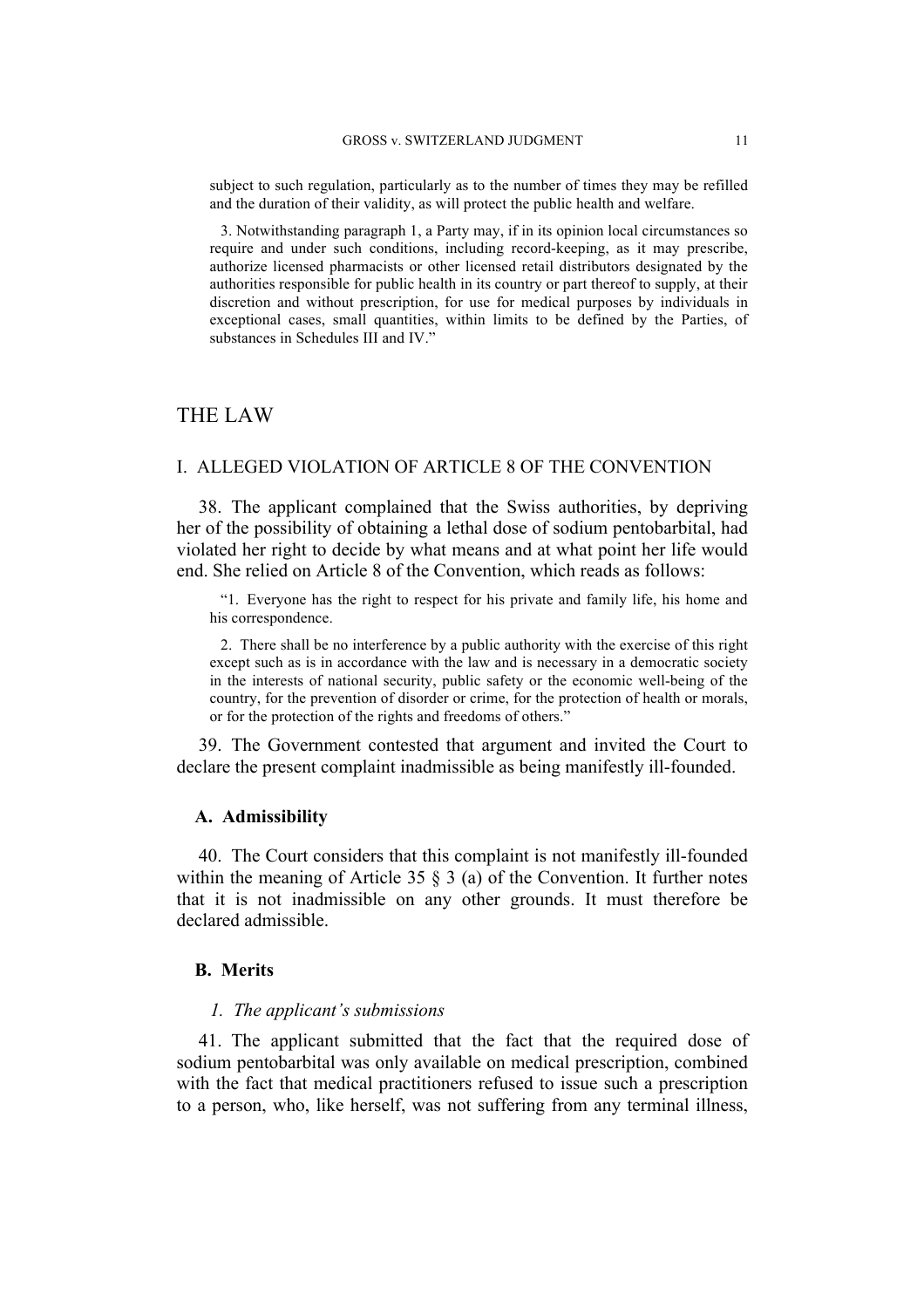subject to such regulation, particularly as to the number of times they may be refilled and the duration of their validity, as will protect the public health and welfare.

3. Notwithstanding paragraph 1, a Party may, if in its opinion local circumstances so require and under such conditions, including record-keeping, as it may prescribe, authorize licensed pharmacists or other licensed retail distributors designated by the authorities responsible for public health in its country or part thereof to supply, at their discretion and without prescription, for use for medical purposes by individuals in exceptional cases, small quantities, within limits to be defined by the Parties, of substances in Schedules III and IV"

### THE LAW

### I. ALLEGED VIOLATION OF ARTICLE 8 OF THE CONVENTION

38. The applicant complained that the Swiss authorities, by depriving her of the possibility of obtaining a lethal dose of sodium pentobarbital, had violated her right to decide by what means and at what point her life would end. She relied on Article 8 of the Convention, which reads as follows:

"1. Everyone has the right to respect for his private and family life, his home and his correspondence.

2. There shall be no interference by a public authority with the exercise of this right except such as is in accordance with the law and is necessary in a democratic society in the interests of national security, public safety or the economic well-being of the country, for the prevention of disorder or crime, for the protection of health or morals, or for the protection of the rights and freedoms of others."

39. The Government contested that argument and invited the Court to declare the present complaint inadmissible as being manifestly ill-founded.

### **A. Admissibility**

40. The Court considers that this complaint is not manifestly ill-founded within the meaning of Article 35  $\frac{8}{3}$  (a) of the Convention. It further notes that it is not inadmissible on any other grounds. It must therefore be declared admissible.

### **B. Merits**

#### *1. The applicant's submissions*

41. The applicant submitted that the fact that the required dose of sodium pentobarbital was only available on medical prescription, combined with the fact that medical practitioners refused to issue such a prescription to a person, who, like herself, was not suffering from any terminal illness,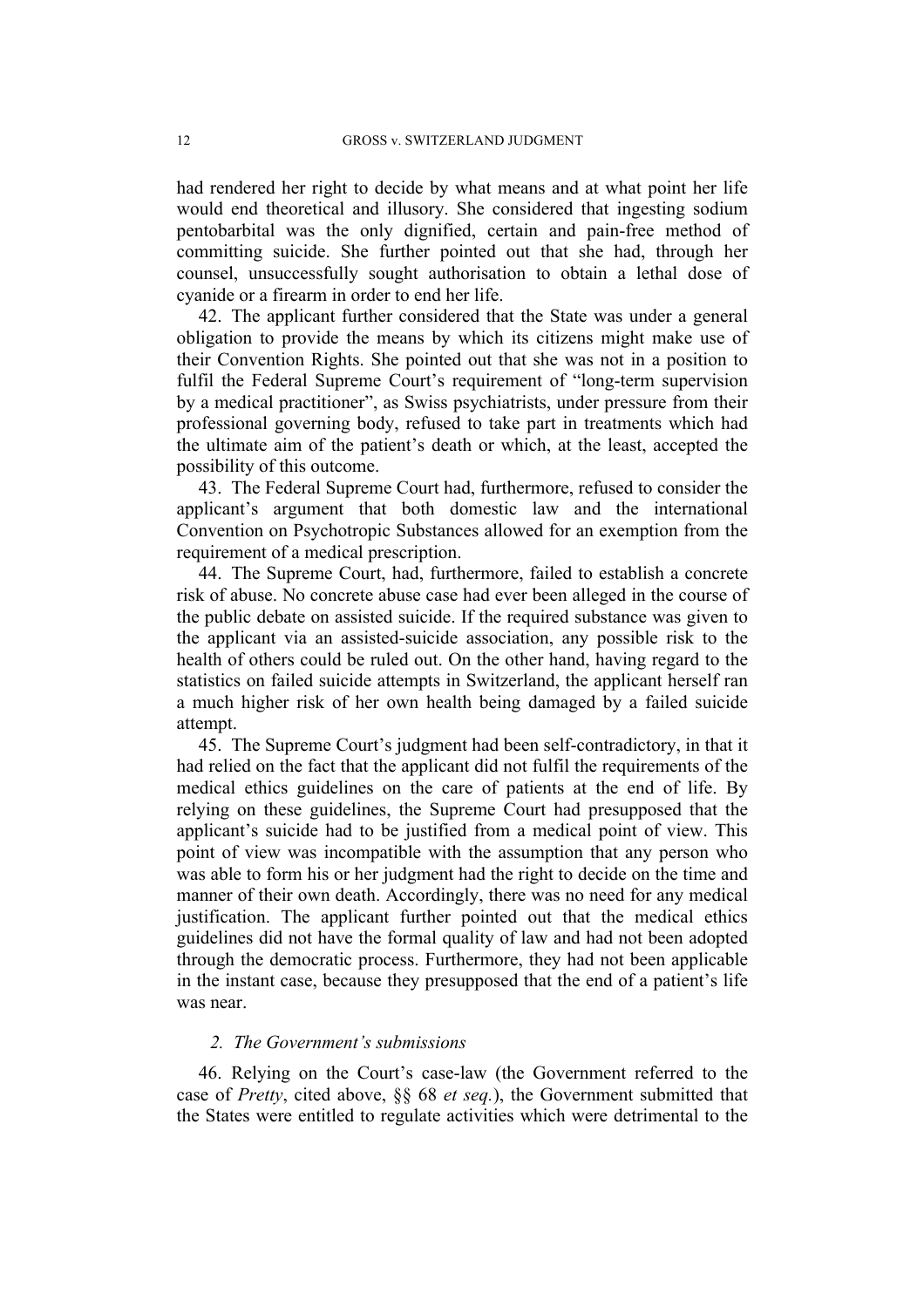had rendered her right to decide by what means and at what point her life would end theoretical and illusory. She considered that ingesting sodium pentobarbital was the only dignified, certain and pain-free method of committing suicide. She further pointed out that she had, through her counsel, unsuccessfully sought authorisation to obtain a lethal dose of cyanide or a firearm in order to end her life.

42. The applicant further considered that the State was under a general obligation to provide the means by which its citizens might make use of their Convention Rights. She pointed out that she was not in a position to fulfil the Federal Supreme Court's requirement of "long-term supervision by a medical practitioner", as Swiss psychiatrists, under pressure from their professional governing body, refused to take part in treatments which had the ultimate aim of the patient's death or which, at the least, accepted the possibility of this outcome.

43. The Federal Supreme Court had, furthermore, refused to consider the applicant's argument that both domestic law and the international Convention on Psychotropic Substances allowed for an exemption from the requirement of a medical prescription.

44. The Supreme Court, had, furthermore, failed to establish a concrete risk of abuse. No concrete abuse case had ever been alleged in the course of the public debate on assisted suicide. If the required substance was given to the applicant via an assisted-suicide association, any possible risk to the health of others could be ruled out. On the other hand, having regard to the statistics on failed suicide attempts in Switzerland, the applicant herself ran a much higher risk of her own health being damaged by a failed suicide attempt.

45. The Supreme Court's judgment had been self-contradictory, in that it had relied on the fact that the applicant did not fulfil the requirements of the medical ethics guidelines on the care of patients at the end of life. By relying on these guidelines, the Supreme Court had presupposed that the applicant's suicide had to be justified from a medical point of view. This point of view was incompatible with the assumption that any person who was able to form his or her judgment had the right to decide on the time and manner of their own death. Accordingly, there was no need for any medical justification. The applicant further pointed out that the medical ethics guidelines did not have the formal quality of law and had not been adopted through the democratic process. Furthermore, they had not been applicable in the instant case, because they presupposed that the end of a patient's life was near.

#### *2. The Government's submissions*

46. Relying on the Court's case-law (the Government referred to the case of *Pretty*, cited above, §§ 68 *et seq.*), the Government submitted that the States were entitled to regulate activities which were detrimental to the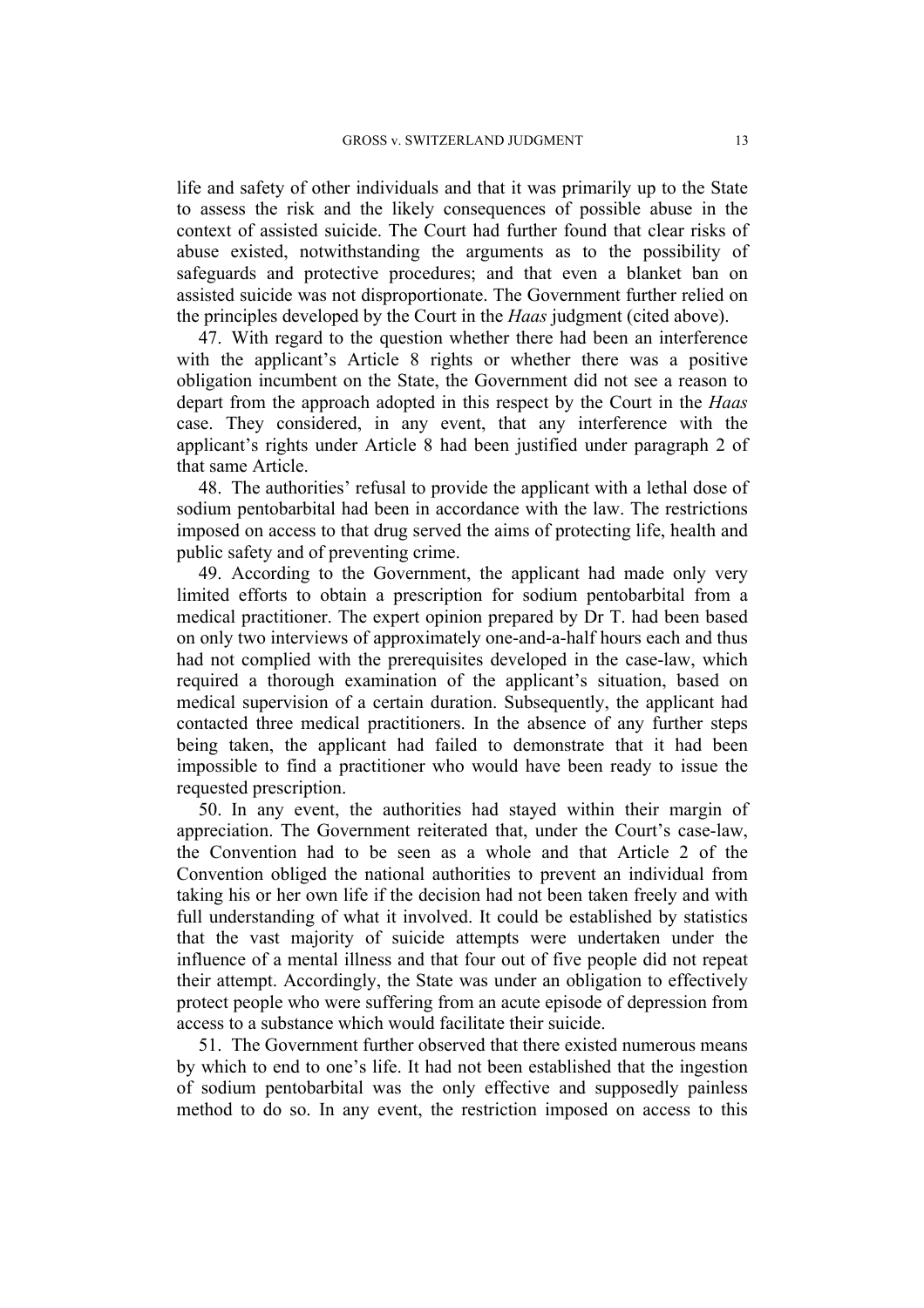life and safety of other individuals and that it was primarily up to the State to assess the risk and the likely consequences of possible abuse in the context of assisted suicide. The Court had further found that clear risks of abuse existed, notwithstanding the arguments as to the possibility of safeguards and protective procedures; and that even a blanket ban on assisted suicide was not disproportionate. The Government further relied on the principles developed by the Court in the *Haas* judgment (cited above).

47. With regard to the question whether there had been an interference with the applicant's Article 8 rights or whether there was a positive obligation incumbent on the State, the Government did not see a reason to depart from the approach adopted in this respect by the Court in the *Haas*  case. They considered, in any event, that any interference with the applicant's rights under Article 8 had been justified under paragraph 2 of that same Article.

48. The authorities' refusal to provide the applicant with a lethal dose of sodium pentobarbital had been in accordance with the law. The restrictions imposed on access to that drug served the aims of protecting life, health and public safety and of preventing crime.

49. According to the Government, the applicant had made only very limited efforts to obtain a prescription for sodium pentobarbital from a medical practitioner. The expert opinion prepared by Dr T. had been based on only two interviews of approximately one-and-a-half hours each and thus had not complied with the prerequisites developed in the case-law, which required a thorough examination of the applicant's situation, based on medical supervision of a certain duration. Subsequently, the applicant had contacted three medical practitioners. In the absence of any further steps being taken, the applicant had failed to demonstrate that it had been impossible to find a practitioner who would have been ready to issue the requested prescription.

50. In any event, the authorities had stayed within their margin of appreciation. The Government reiterated that, under the Court's case-law, the Convention had to be seen as a whole and that Article 2 of the Convention obliged the national authorities to prevent an individual from taking his or her own life if the decision had not been taken freely and with full understanding of what it involved. It could be established by statistics that the vast majority of suicide attempts were undertaken under the influence of a mental illness and that four out of five people did not repeat their attempt. Accordingly, the State was under an obligation to effectively protect people who were suffering from an acute episode of depression from access to a substance which would facilitate their suicide.

51. The Government further observed that there existed numerous means by which to end to one's life. It had not been established that the ingestion of sodium pentobarbital was the only effective and supposedly painless method to do so. In any event, the restriction imposed on access to this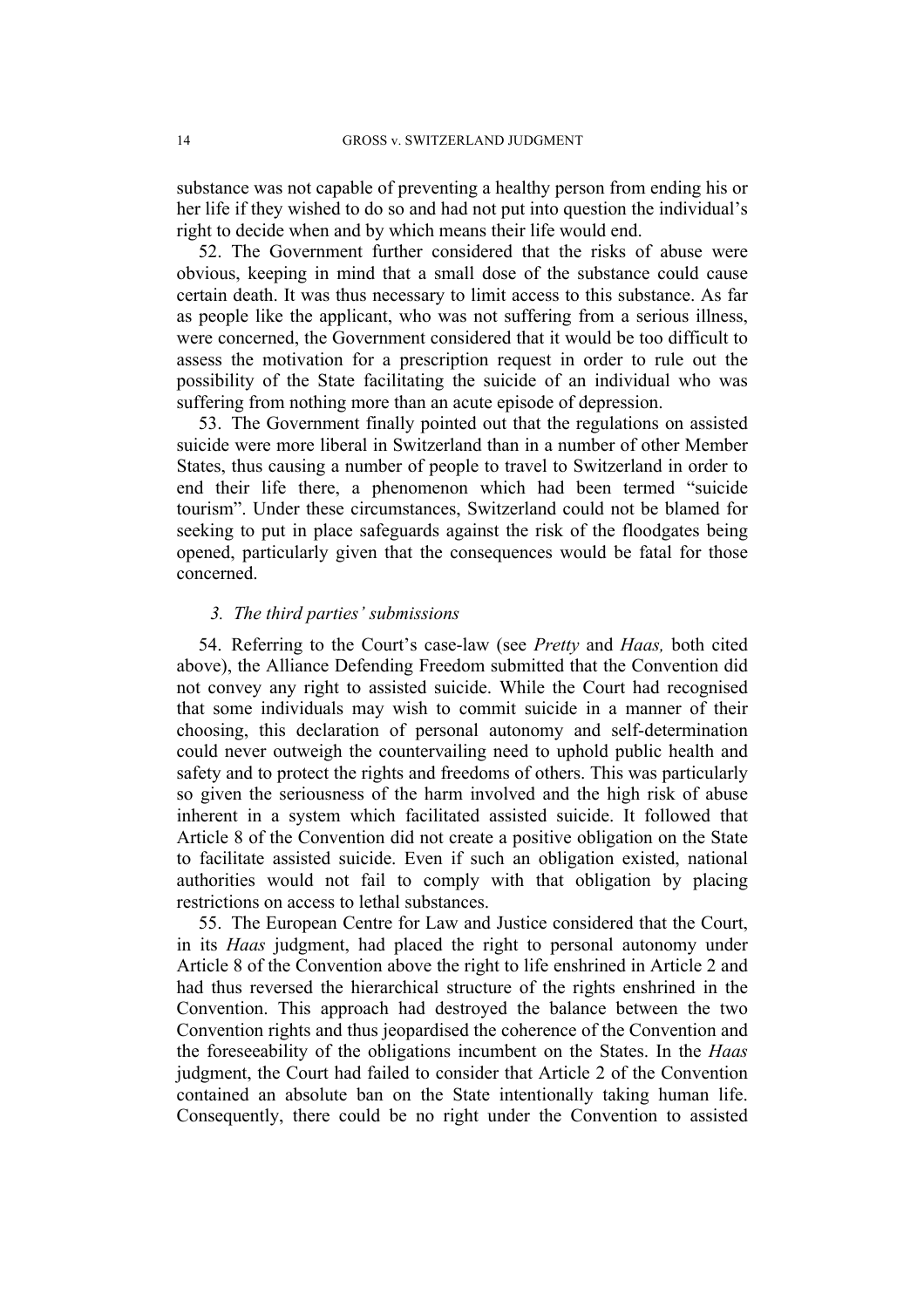substance was not capable of preventing a healthy person from ending his or her life if they wished to do so and had not put into question the individual's right to decide when and by which means their life would end.

52. The Government further considered that the risks of abuse were obvious, keeping in mind that a small dose of the substance could cause certain death. It was thus necessary to limit access to this substance. As far as people like the applicant, who was not suffering from a serious illness, were concerned, the Government considered that it would be too difficult to assess the motivation for a prescription request in order to rule out the possibility of the State facilitating the suicide of an individual who was suffering from nothing more than an acute episode of depression.

53. The Government finally pointed out that the regulations on assisted suicide were more liberal in Switzerland than in a number of other Member States, thus causing a number of people to travel to Switzerland in order to end their life there, a phenomenon which had been termed "suicide tourism". Under these circumstances, Switzerland could not be blamed for seeking to put in place safeguards against the risk of the floodgates being opened, particularly given that the consequences would be fatal for those concerned.

#### *3. The third parties' submissions*

54. Referring to the Court's case-law (see *Pretty* and *Haas,* both cited above), the Alliance Defending Freedom submitted that the Convention did not convey any right to assisted suicide. While the Court had recognised that some individuals may wish to commit suicide in a manner of their choosing, this declaration of personal autonomy and self-determination could never outweigh the countervailing need to uphold public health and safety and to protect the rights and freedoms of others. This was particularly so given the seriousness of the harm involved and the high risk of abuse inherent in a system which facilitated assisted suicide. It followed that Article 8 of the Convention did not create a positive obligation on the State to facilitate assisted suicide. Even if such an obligation existed, national authorities would not fail to comply with that obligation by placing restrictions on access to lethal substances.

55. The European Centre for Law and Justice considered that the Court, in its *Haas* judgment, had placed the right to personal autonomy under Article 8 of the Convention above the right to life enshrined in Article 2 and had thus reversed the hierarchical structure of the rights enshrined in the Convention. This approach had destroyed the balance between the two Convention rights and thus jeopardised the coherence of the Convention and the foreseeability of the obligations incumbent on the States. In the *Haas*  judgment, the Court had failed to consider that Article 2 of the Convention contained an absolute ban on the State intentionally taking human life. Consequently, there could be no right under the Convention to assisted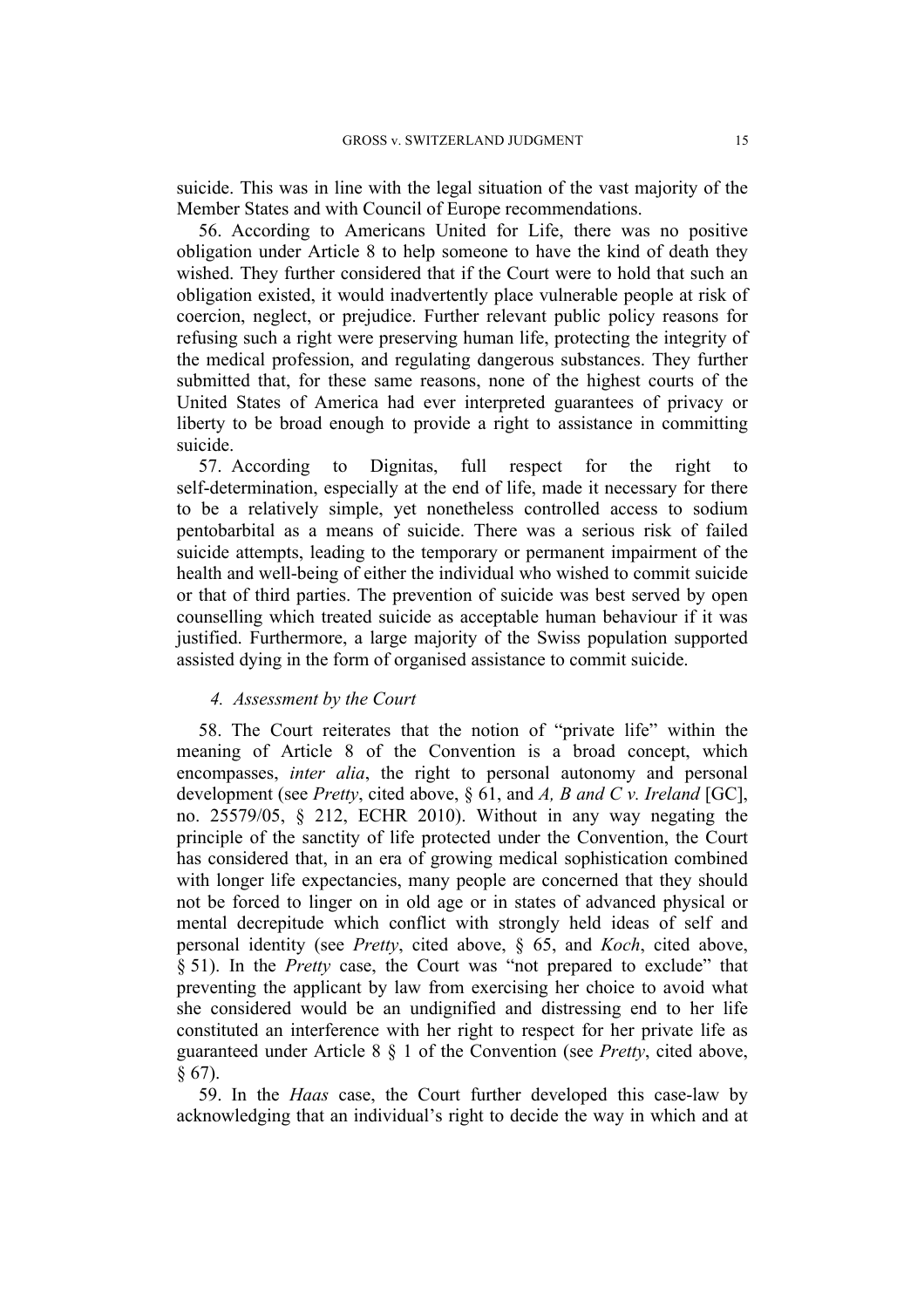suicide. This was in line with the legal situation of the vast majority of the Member States and with Council of Europe recommendations.

56. According to Americans United for Life, there was no positive obligation under Article 8 to help someone to have the kind of death they wished. They further considered that if the Court were to hold that such an obligation existed, it would inadvertently place vulnerable people at risk of coercion, neglect, or prejudice. Further relevant public policy reasons for refusing such a right were preserving human life, protecting the integrity of the medical profession, and regulating dangerous substances. They further submitted that, for these same reasons, none of the highest courts of the United States of America had ever interpreted guarantees of privacy or liberty to be broad enough to provide a right to assistance in committing suicide.

57. According to Dignitas, full respect for the right to self-determination, especially at the end of life, made it necessary for there to be a relatively simple, yet nonetheless controlled access to sodium pentobarbital as a means of suicide. There was a serious risk of failed suicide attempts, leading to the temporary or permanent impairment of the health and well-being of either the individual who wished to commit suicide or that of third parties. The prevention of suicide was best served by open counselling which treated suicide as acceptable human behaviour if it was justified. Furthermore, a large majority of the Swiss population supported assisted dying in the form of organised assistance to commit suicide.

### *4. Assessment by the Court*

58. The Court reiterates that the notion of "private life" within the meaning of Article 8 of the Convention is a broad concept, which encompasses, *inter alia*, the right to personal autonomy and personal development (see *Pretty*, cited above, § 61, and *A, B and C v. Ireland* [GC], no. 25579/05, § 212, ECHR 2010). Without in any way negating the principle of the sanctity of life protected under the Convention, the Court has considered that, in an era of growing medical sophistication combined with longer life expectancies, many people are concerned that they should not be forced to linger on in old age or in states of advanced physical or mental decrepitude which conflict with strongly held ideas of self and personal identity (see *Pretty*, cited above, § 65, and *Koch*, cited above, § 51). In the *Pretty* case, the Court was "not prepared to exclude" that preventing the applicant by law from exercising her choice to avoid what she considered would be an undignified and distressing end to her life constituted an interference with her right to respect for her private life as guaranteed under Article 8 § 1 of the Convention (see *Pretty*, cited above,  $§ 67).$ 

59. In the *Haas* case, the Court further developed this case-law by acknowledging that an individual's right to decide the way in which and at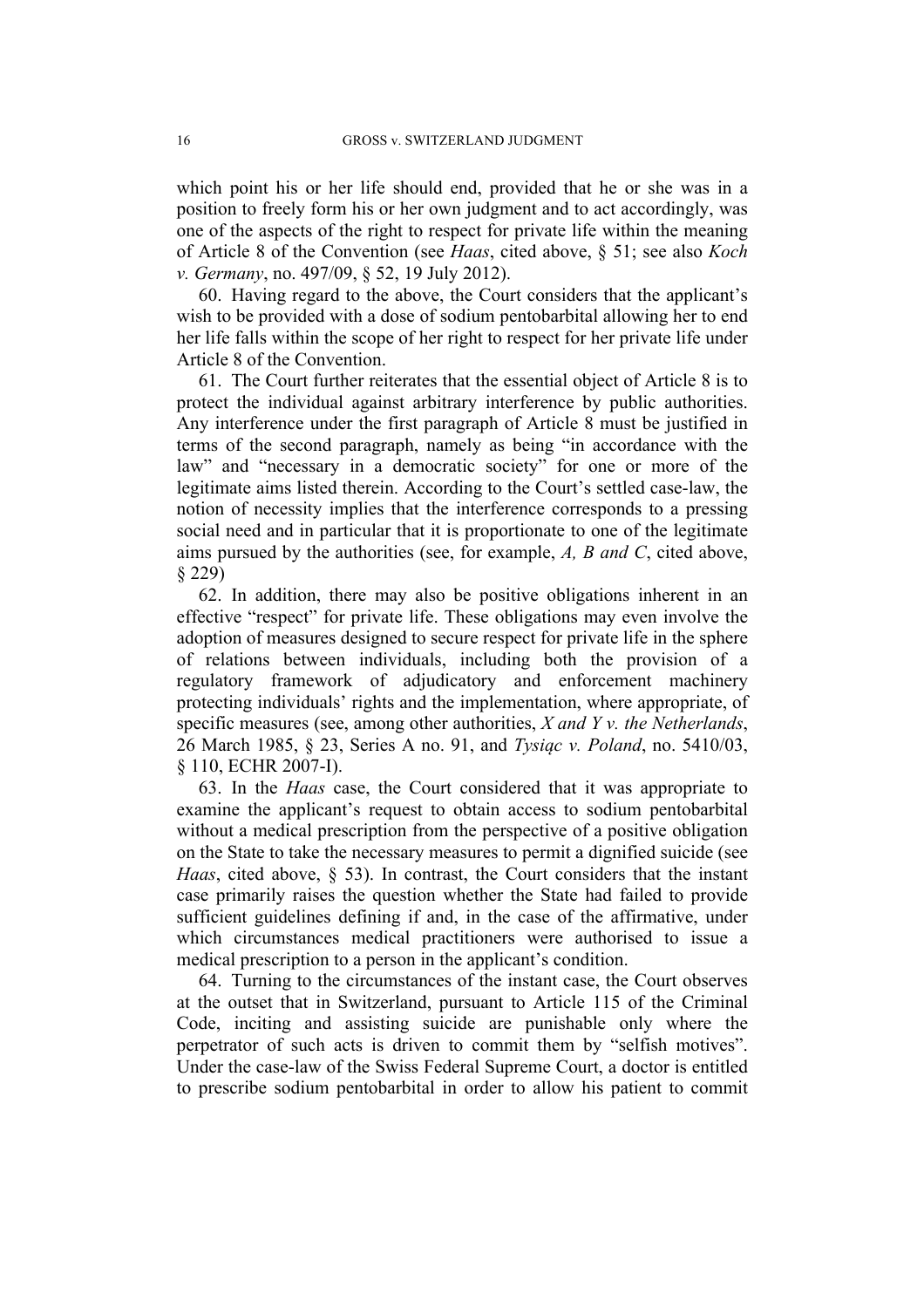which point his or her life should end, provided that he or she was in a position to freely form his or her own judgment and to act accordingly, was one of the aspects of the right to respect for private life within the meaning of Article 8 of the Convention (see *Haas*, cited above, § 51; see also *Koch v. Germany*, no. 497/09, § 52, 19 July 2012).

60. Having regard to the above, the Court considers that the applicant's wish to be provided with a dose of sodium pentobarbital allowing her to end her life falls within the scope of her right to respect for her private life under Article 8 of the Convention.

61. The Court further reiterates that the essential object of Article 8 is to protect the individual against arbitrary interference by public authorities. Any interference under the first paragraph of Article 8 must be justified in terms of the second paragraph, namely as being "in accordance with the law" and "necessary in a democratic society" for one or more of the legitimate aims listed therein. According to the Court's settled case-law, the notion of necessity implies that the interference corresponds to a pressing social need and in particular that it is proportionate to one of the legitimate aims pursued by the authorities (see, for example, *A, B and C*, cited above, § 229)

62. In addition, there may also be positive obligations inherent in an effective "respect" for private life. These obligations may even involve the adoption of measures designed to secure respect for private life in the sphere of relations between individuals, including both the provision of a regulatory framework of adjudicatory and enforcement machinery protecting individuals' rights and the implementation, where appropriate, of specific measures (see, among other authorities, *X and Y v. the Netherlands*, 26 March 1985, § 23, Series A no. 91, and *Tysiąc v. Poland*, no. 5410/03, § 110, ECHR 2007-I).

63. In the *Haas* case, the Court considered that it was appropriate to examine the applicant's request to obtain access to sodium pentobarbital without a medical prescription from the perspective of a positive obligation on the State to take the necessary measures to permit a dignified suicide (see *Haas*, cited above, § 53). In contrast, the Court considers that the instant case primarily raises the question whether the State had failed to provide sufficient guidelines defining if and, in the case of the affirmative, under which circumstances medical practitioners were authorised to issue a medical prescription to a person in the applicant's condition.

64. Turning to the circumstances of the instant case, the Court observes at the outset that in Switzerland, pursuant to Article 115 of the Criminal Code, inciting and assisting suicide are punishable only where the perpetrator of such acts is driven to commit them by "selfish motives". Under the case-law of the Swiss Federal Supreme Court, a doctor is entitled to prescribe sodium pentobarbital in order to allow his patient to commit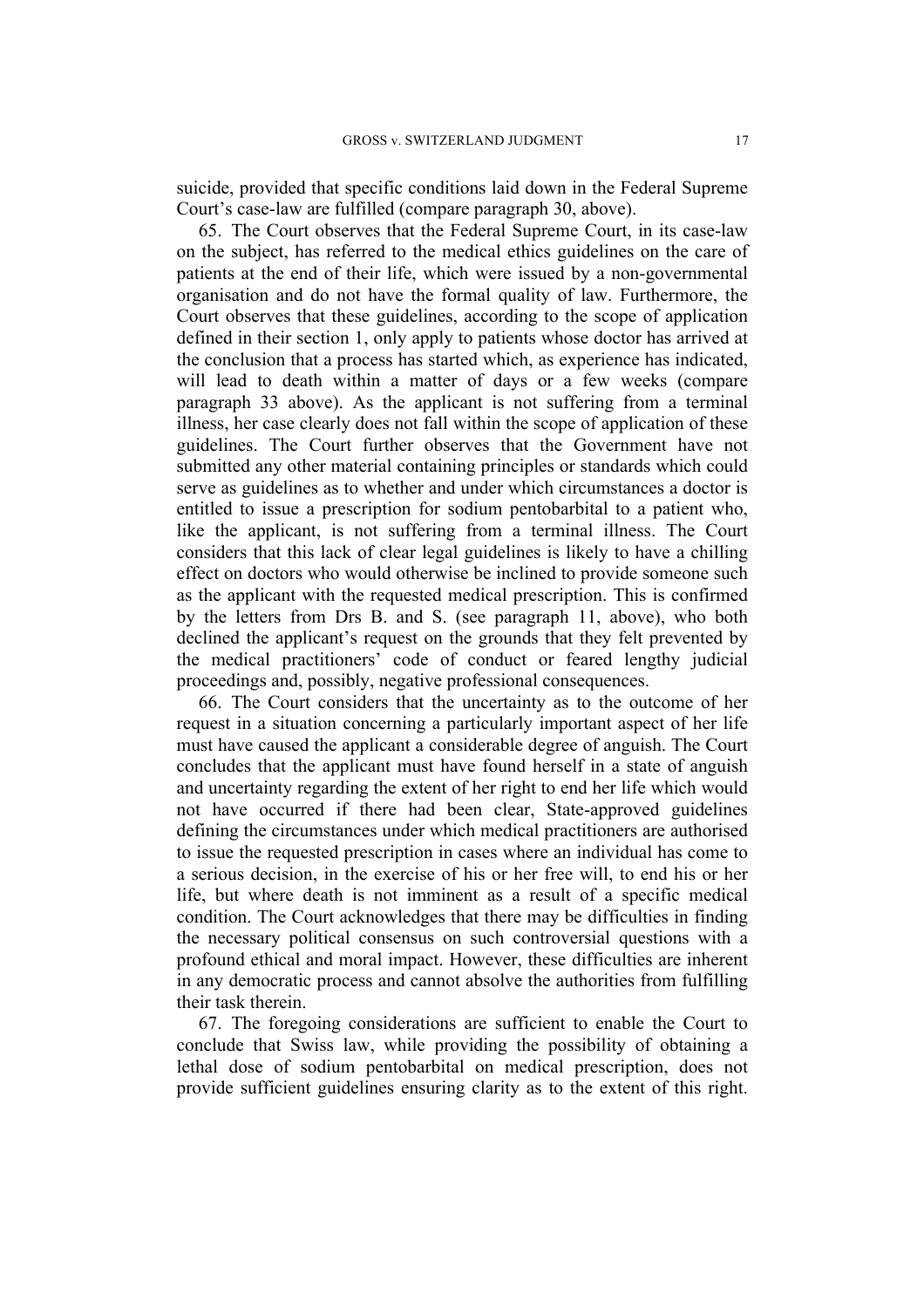suicide, provided that specific conditions laid down in the Federal Supreme Court's case-law are fulfilled (compare paragraph 30, above).

65. The Court observes that the Federal Supreme Court, in its case-law on the subject, has referred to the medical ethics guidelines on the care of patients at the end of their life, which were issued by a non-governmental organisation and do not have the formal quality of law. Furthermore, the Court observes that these guidelines, according to the scope of application defined in their section 1, only apply to patients whose doctor has arrived at the conclusion that a process has started which, as experience has indicated, will lead to death within a matter of days or a few weeks (compare paragraph 33 above). As the applicant is not suffering from a terminal illness, her case clearly does not fall within the scope of application of these guidelines. The Court further observes that the Government have not submitted any other material containing principles or standards which could serve as guidelines as to whether and under which circumstances a doctor is entitled to issue a prescription for sodium pentobarbital to a patient who, like the applicant, is not suffering from a terminal illness. The Court considers that this lack of clear legal guidelines is likely to have a chilling effect on doctors who would otherwise be inclined to provide someone such as the applicant with the requested medical prescription. This is confirmed by the letters from Drs B. and S. (see paragraph 11, above), who both declined the applicant's request on the grounds that they felt prevented by the medical practitioners' code of conduct or feared lengthy judicial proceedings and, possibly, negative professional consequences.

66. The Court considers that the uncertainty as to the outcome of her request in a situation concerning a particularly important aspect of her life must have caused the applicant a considerable degree of anguish. The Court concludes that the applicant must have found herself in a state of anguish and uncertainty regarding the extent of her right to end her life which would not have occurred if there had been clear, State-approved guidelines defining the circumstances under which medical practitioners are authorised to issue the requested prescription in cases where an individual has come to a serious decision, in the exercise of his or her free will, to end his or her life, but where death is not imminent as a result of a specific medical condition. The Court acknowledges that there may be difficulties in finding the necessary political consensus on such controversial questions with a profound ethical and moral impact. However, these difficulties are inherent in any democratic process and cannot absolve the authorities from fulfilling their task therein.

67. The foregoing considerations are sufficient to enable the Court to conclude that Swiss law, while providing the possibility of obtaining a lethal dose of sodium pentobarbital on medical prescription, does not provide sufficient guidelines ensuring clarity as to the extent of this right.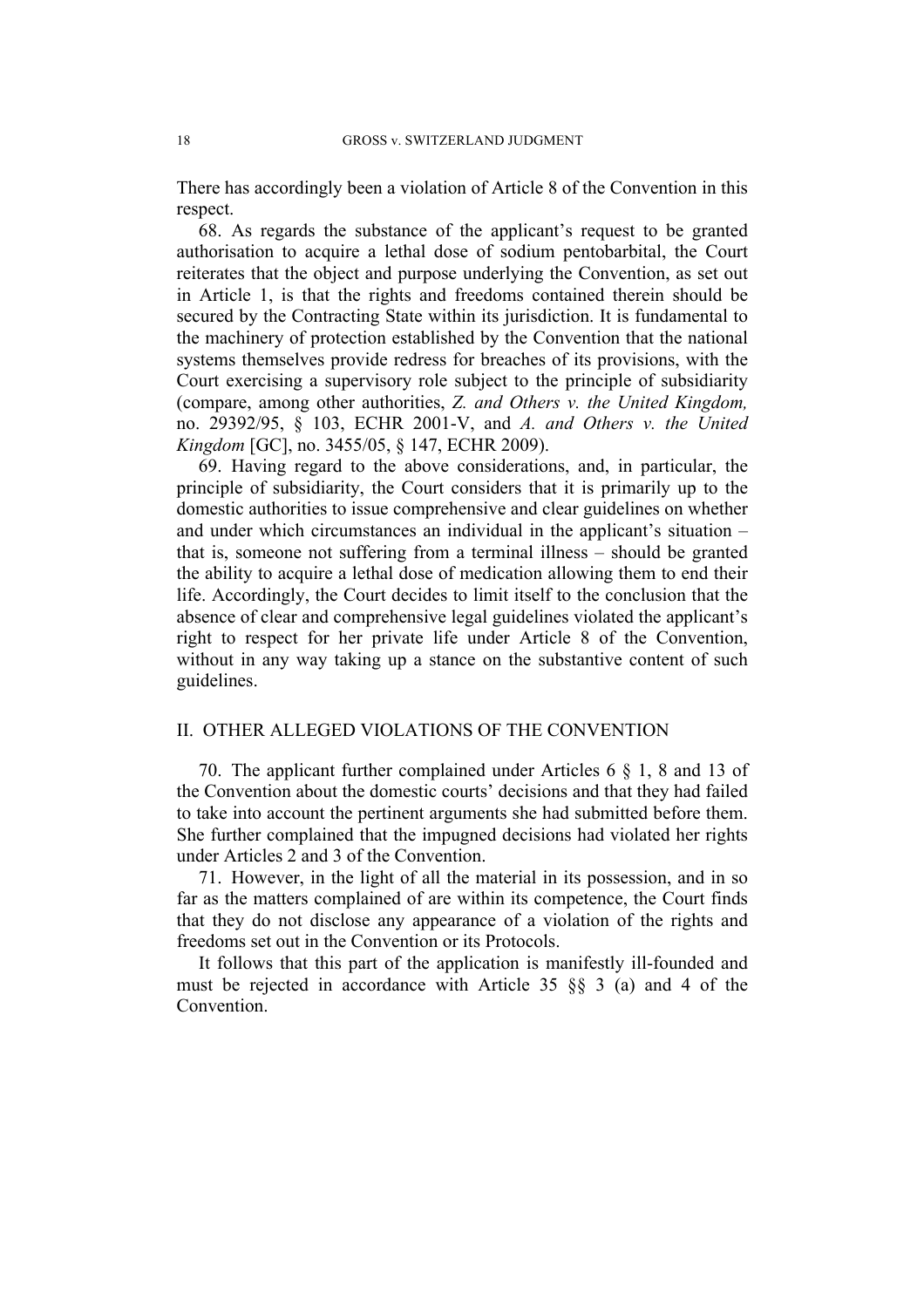There has accordingly been a violation of Article 8 of the Convention in this respect.

68. As regards the substance of the applicant's request to be granted authorisation to acquire a lethal dose of sodium pentobarbital, the Court reiterates that the object and purpose underlying the Convention, as set out in Article 1, is that the rights and freedoms contained therein should be secured by the Contracting State within its jurisdiction. It is fundamental to the machinery of protection established by the Convention that the national systems themselves provide redress for breaches of its provisions, with the Court exercising a supervisory role subject to the principle of subsidiarity (compare, among other authorities, *Z. and Others v. the United Kingdom,*  no. 29392/95, § 103, ECHR 2001-V, and *A. and Others v. the United Kingdom* [GC], no. 3455/05, § 147, ECHR 2009).

69. Having regard to the above considerations, and, in particular, the principle of subsidiarity, the Court considers that it is primarily up to the domestic authorities to issue comprehensive and clear guidelines on whether and under which circumstances an individual in the applicant's situation – that is, someone not suffering from a terminal illness – should be granted the ability to acquire a lethal dose of medication allowing them to end their life. Accordingly, the Court decides to limit itself to the conclusion that the absence of clear and comprehensive legal guidelines violated the applicant's right to respect for her private life under Article 8 of the Convention, without in any way taking up a stance on the substantive content of such guidelines.

### II. OTHER ALLEGED VIOLATIONS OF THE CONVENTION

70. The applicant further complained under Articles 6 § 1, 8 and 13 of the Convention about the domestic courts' decisions and that they had failed to take into account the pertinent arguments she had submitted before them. She further complained that the impugned decisions had violated her rights under Articles 2 and 3 of the Convention.

71. However, in the light of all the material in its possession, and in so far as the matters complained of are within its competence, the Court finds that they do not disclose any appearance of a violation of the rights and freedoms set out in the Convention or its Protocols.

It follows that this part of the application is manifestly ill-founded and must be rejected in accordance with Article 35 §§ 3 (a) and 4 of the Convention.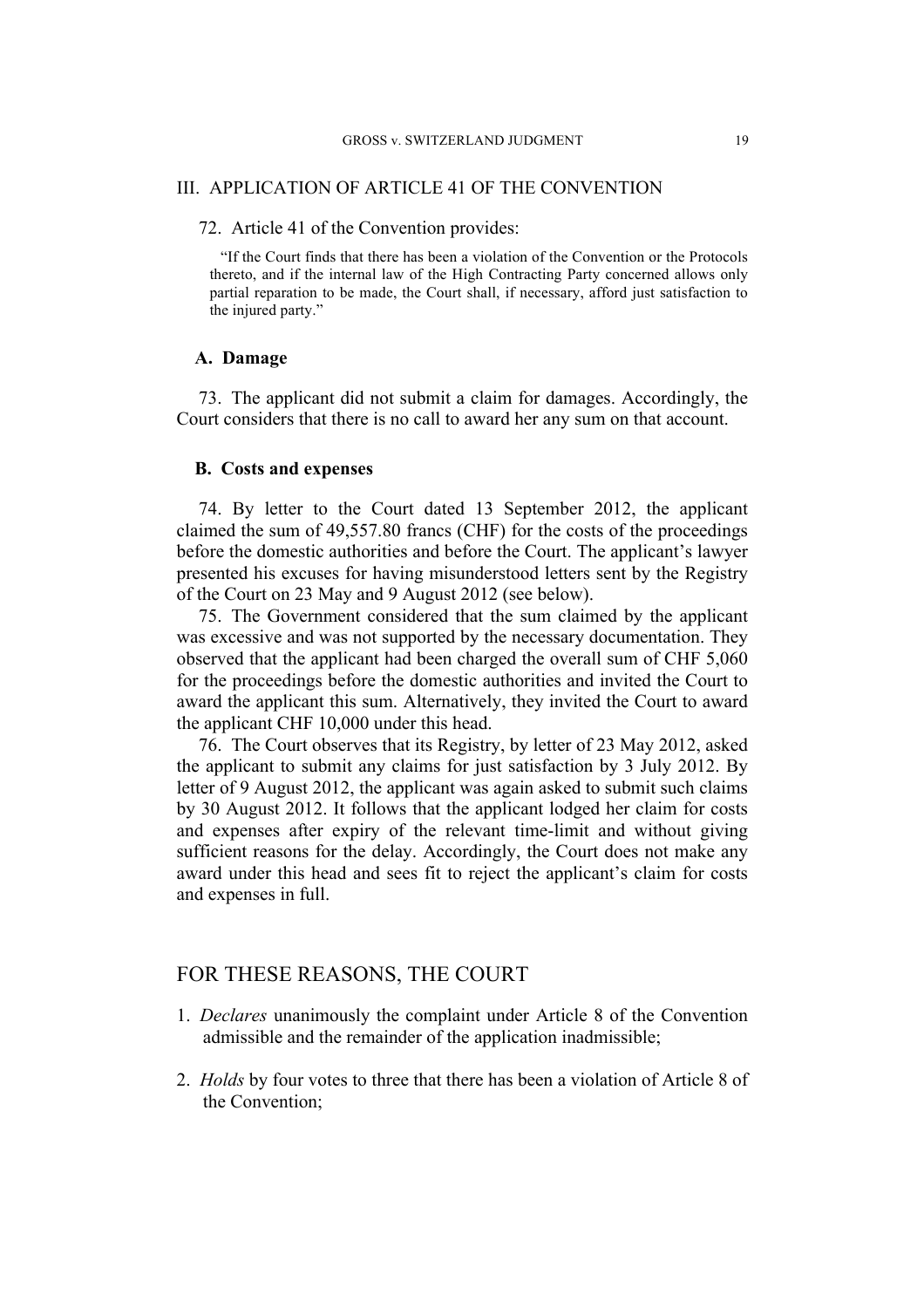### III. APPLICATION OF ARTICLE 41 OF THE CONVENTION

### 72. Article 41 of the Convention provides:

"If the Court finds that there has been a violation of the Convention or the Protocols thereto, and if the internal law of the High Contracting Party concerned allows only partial reparation to be made, the Court shall, if necessary, afford just satisfaction to the injured party."

### **A. Damage**

73. The applicant did not submit a claim for damages. Accordingly, the Court considers that there is no call to award her any sum on that account.

### **B. Costs and expenses**

74. By letter to the Court dated 13 September 2012, the applicant claimed the sum of 49,557.80 francs (CHF) for the costs of the proceedings before the domestic authorities and before the Court. The applicant's lawyer presented his excuses for having misunderstood letters sent by the Registry of the Court on 23 May and 9 August 2012 (see below).

75. The Government considered that the sum claimed by the applicant was excessive and was not supported by the necessary documentation. They observed that the applicant had been charged the overall sum of CHF 5,060 for the proceedings before the domestic authorities and invited the Court to award the applicant this sum. Alternatively, they invited the Court to award the applicant CHF 10,000 under this head.

76. The Court observes that its Registry, by letter of 23 May 2012, asked the applicant to submit any claims for just satisfaction by 3 July 2012. By letter of 9 August 2012, the applicant was again asked to submit such claims by 30 August 2012. It follows that the applicant lodged her claim for costs and expenses after expiry of the relevant time-limit and without giving sufficient reasons for the delay. Accordingly, the Court does not make any award under this head and sees fit to reject the applicant's claim for costs and expenses in full.

### FOR THESE REASONS, THE COURT

- 1. *Declares* unanimously the complaint under Article 8 of the Convention admissible and the remainder of the application inadmissible;
- 2. *Holds* by four votes to three that there has been a violation of Article 8 of the Convention;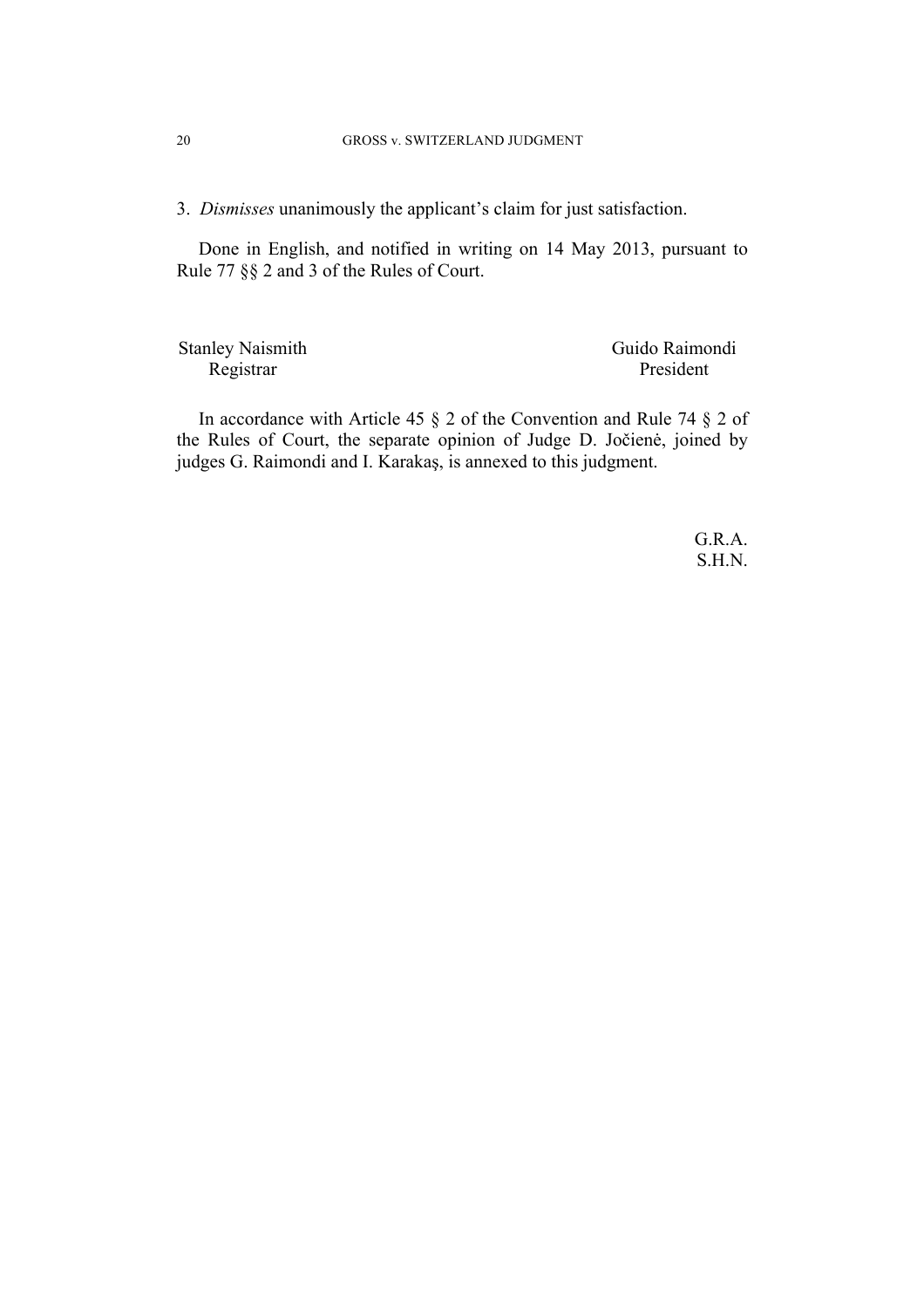3. *Dismisses* unanimously the applicant's claim for just satisfaction.

Done in English, and notified in writing on 14 May 2013, pursuant to Rule 77 §§ 2 and 3 of the Rules of Court.

Stanley Naismith Guido Raimondi<br>Registrar President Registrar

In accordance with Article 45 § 2 of the Convention and Rule 74 § 2 of the Rules of Court, the separate opinion of Judge D. Jočienė, joined by judges G. Raimondi and I. Karakaş, is annexed to this judgment.

> G.R.A. S.H.N.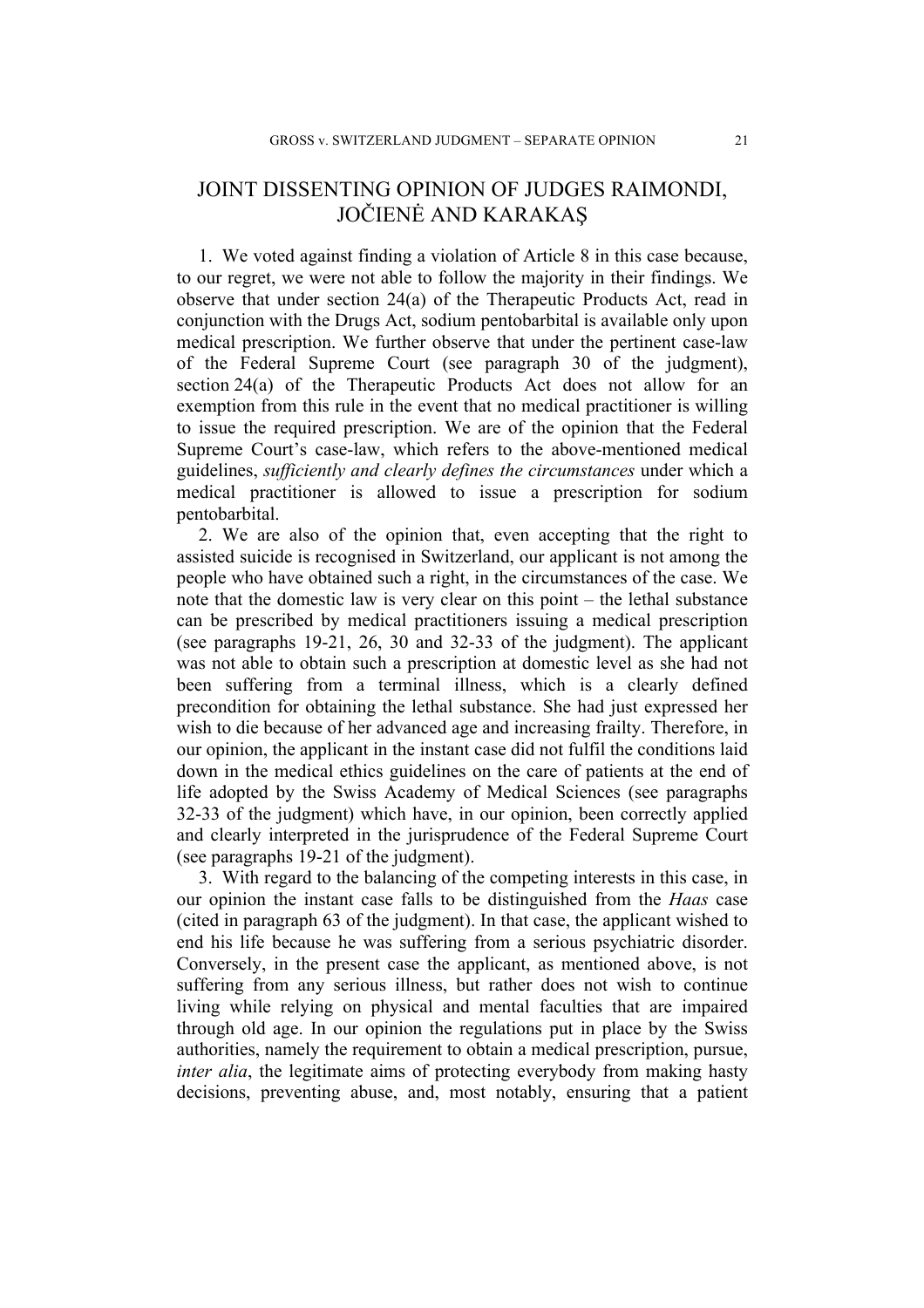# JOINT DISSENTING OPINION OF JUDGES RAIMONDI, JOČIENĖ AND KARAKAŞ

1. We voted against finding a violation of Article 8 in this case because, to our regret, we were not able to follow the majority in their findings. We observe that under section 24(a) of the Therapeutic Products Act, read in conjunction with the Drugs Act, sodium pentobarbital is available only upon medical prescription. We further observe that under the pertinent case-law of the Federal Supreme Court (see paragraph 30 of the judgment), section 24(a) of the Therapeutic Products Act does not allow for an exemption from this rule in the event that no medical practitioner is willing to issue the required prescription. We are of the opinion that the Federal Supreme Court's case-law, which refers to the above-mentioned medical guidelines, *sufficiently and clearly defines the circumstances* under which a medical practitioner is allowed to issue a prescription for sodium pentobarbital.

2. We are also of the opinion that, even accepting that the right to assisted suicide is recognised in Switzerland, our applicant is not among the people who have obtained such a right, in the circumstances of the case. We note that the domestic law is very clear on this point – the lethal substance can be prescribed by medical practitioners issuing a medical prescription (see paragraphs 19-21, 26, 30 and 32-33 of the judgment). The applicant was not able to obtain such a prescription at domestic level as she had not been suffering from a terminal illness, which is a clearly defined precondition for obtaining the lethal substance. She had just expressed her wish to die because of her advanced age and increasing frailty. Therefore, in our opinion, the applicant in the instant case did not fulfil the conditions laid down in the medical ethics guidelines on the care of patients at the end of life adopted by the Swiss Academy of Medical Sciences (see paragraphs 32-33 of the judgment) which have, in our opinion, been correctly applied and clearly interpreted in the jurisprudence of the Federal Supreme Court (see paragraphs 19-21 of the judgment).

3. With regard to the balancing of the competing interests in this case, in our opinion the instant case falls to be distinguished from the *Haas* case (cited in paragraph 63 of the judgment). In that case, the applicant wished to end his life because he was suffering from a serious psychiatric disorder. Conversely, in the present case the applicant, as mentioned above, is not suffering from any serious illness, but rather does not wish to continue living while relying on physical and mental faculties that are impaired through old age. In our opinion the regulations put in place by the Swiss authorities, namely the requirement to obtain a medical prescription, pursue, *inter alia*, the legitimate aims of protecting everybody from making hasty decisions, preventing abuse, and, most notably, ensuring that a patient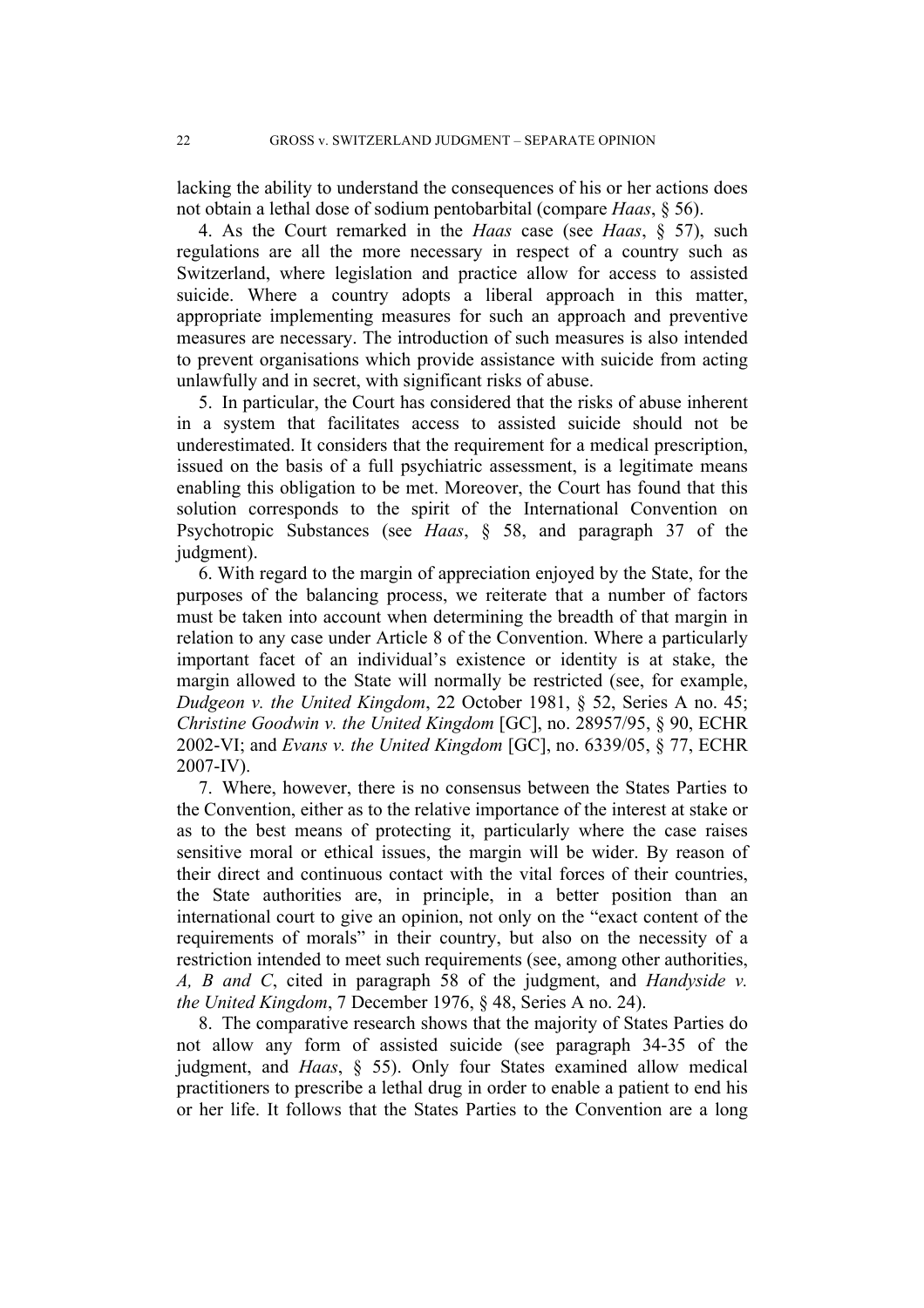lacking the ability to understand the consequences of his or her actions does not obtain a lethal dose of sodium pentobarbital (compare *Haas*, § 56).

4. As the Court remarked in the *Haas* case (see *Haas*, § 57), such regulations are all the more necessary in respect of a country such as Switzerland, where legislation and practice allow for access to assisted suicide. Where a country adopts a liberal approach in this matter, appropriate implementing measures for such an approach and preventive measures are necessary. The introduction of such measures is also intended to prevent organisations which provide assistance with suicide from acting unlawfully and in secret, with significant risks of abuse.

5. In particular, the Court has considered that the risks of abuse inherent in a system that facilitates access to assisted suicide should not be underestimated. It considers that the requirement for a medical prescription, issued on the basis of a full psychiatric assessment, is a legitimate means enabling this obligation to be met. Moreover, the Court has found that this solution corresponds to the spirit of the International Convention on Psychotropic Substances (see *Haas*, § 58, and paragraph 37 of the judgment).

6. With regard to the margin of appreciation enjoyed by the State, for the purposes of the balancing process, we reiterate that a number of factors must be taken into account when determining the breadth of that margin in relation to any case under Article 8 of the Convention. Where a particularly important facet of an individual's existence or identity is at stake, the margin allowed to the State will normally be restricted (see, for example, *Dudgeon v. the United Kingdom*, 22 October 1981, § 52, Series A no. 45; *Christine Goodwin v. the United Kingdom* [GC], no. 28957/95, § 90, ECHR 2002-VI; and *Evans v. the United Kingdom* [GC], no. 6339/05, § 77, ECHR 2007-IV).

7. Where, however, there is no consensus between the States Parties to the Convention, either as to the relative importance of the interest at stake or as to the best means of protecting it, particularly where the case raises sensitive moral or ethical issues, the margin will be wider. By reason of their direct and continuous contact with the vital forces of their countries, the State authorities are, in principle, in a better position than an international court to give an opinion, not only on the "exact content of the requirements of morals" in their country, but also on the necessity of a restriction intended to meet such requirements (see, among other authorities, *A, B and C*, cited in paragraph 58 of the judgment, and *Handyside v. the United Kingdom*, 7 December 1976, § 48, Series A no. 24).

8. The comparative research shows that the majority of States Parties do not allow any form of assisted suicide (see paragraph 34-35 of the judgment, and *Haas*, § 55). Only four States examined allow medical practitioners to prescribe a lethal drug in order to enable a patient to end his or her life. It follows that the States Parties to the Convention are a long